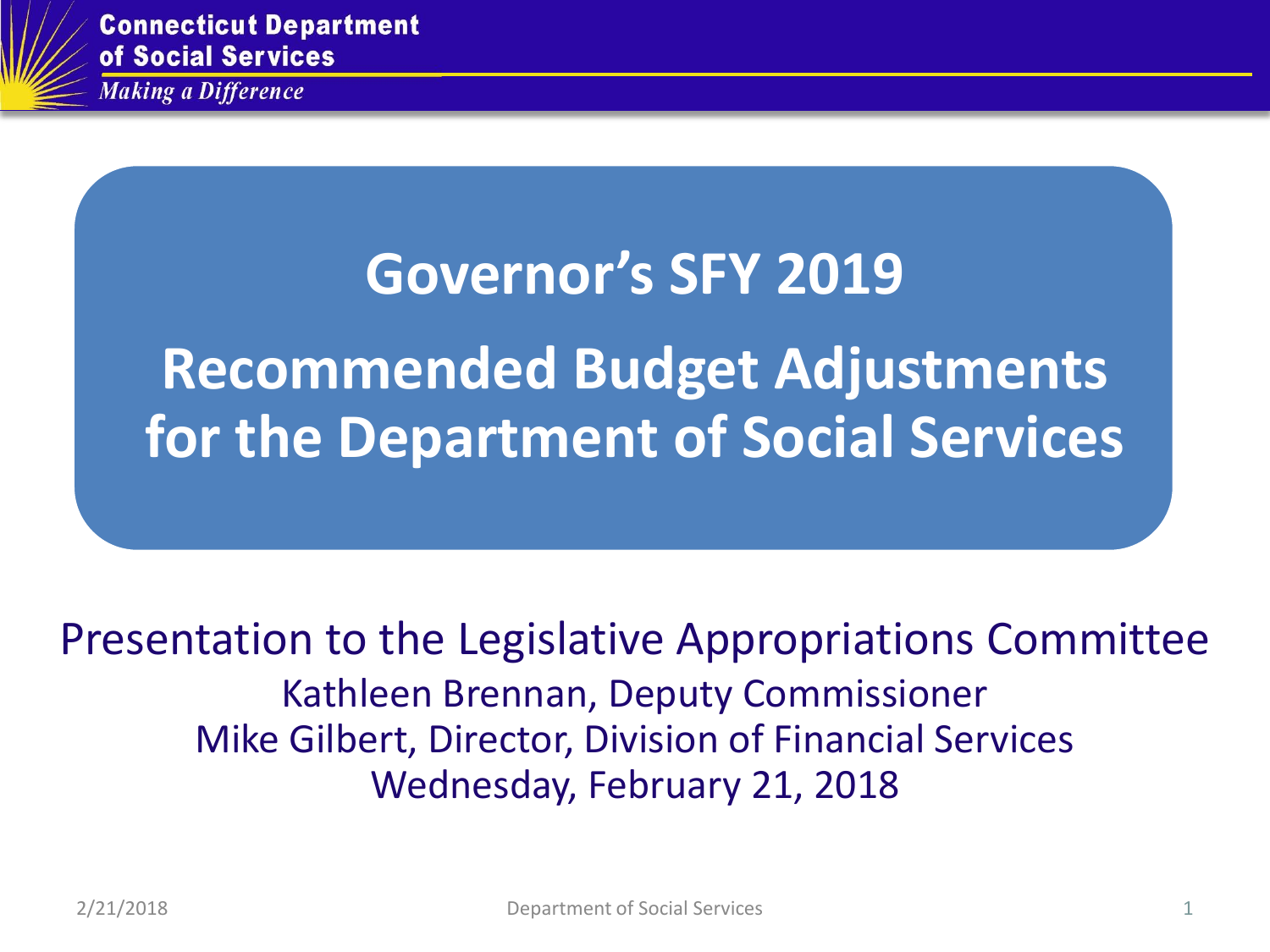

**Connecticut Department** of Social Services

**Making a Difference** 

# **Governor's SFY 2019** Recommended Budget Adjustments **Recommended Budget Adjustments for the Department of Social Services**

## Presentation to the Legislative Appropriations Committee Kathleen Brennan, Deputy Commissioner Mike Gilbert, Director, Division of Financial Services Wednesday, February 21, 2018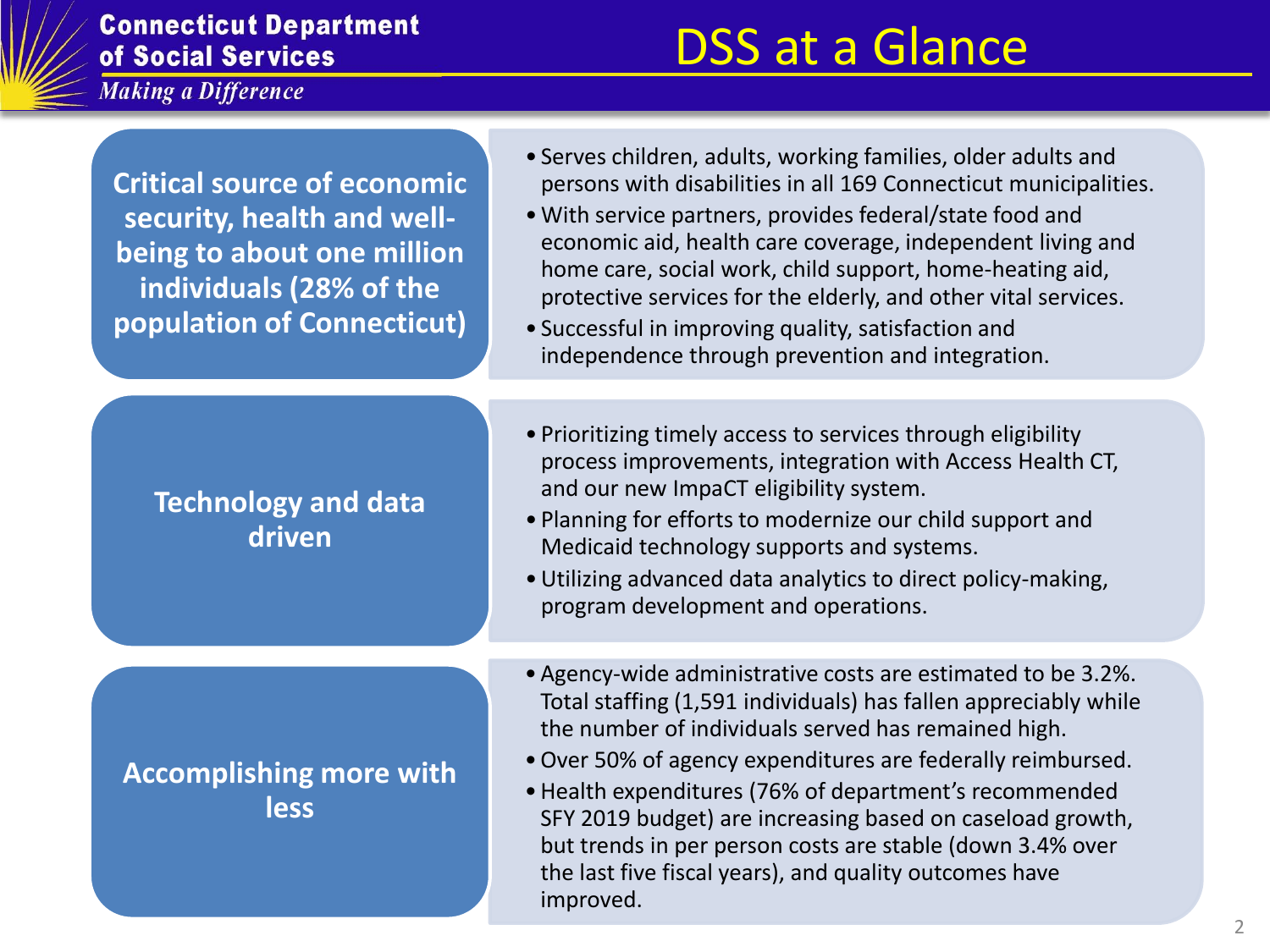

#### **Connecticut Department** of Social Services

**Making a Difference** 

# DSS at a Glance

**Critical source of economic security, health and wellbeing to about one million individuals (28% of the population of Connecticut)**

#### **Technology and data driven**

**Accomplishing more with less**

- Serves children, adults, working families, older adults and persons with disabilities in all 169 Connecticut municipalities.
- •With service partners, provides federal/state food and economic aid, health care coverage, independent living and home care, social work, child support, home-heating aid, protective services for the elderly, and other vital services.
- Successful in improving quality, satisfaction and independence through prevention and integration.
- Prioritizing timely access to services through eligibility process improvements, integration with Access Health CT, and our new ImpaCT eligibility system.
- Planning for efforts to modernize our child support and Medicaid technology supports and systems.
- •Utilizing advanced data analytics to direct policy-making, program development and operations.
- •Agency-wide administrative costs are estimated to be 3.2%. Total staffing (1,591 individuals) has fallen appreciably while the number of individuals served has remained high.
- •Over 50% of agency expenditures are federally reimbursed.
- •Health expenditures (76% of department's recommended SFY 2019 budget) are increasing based on caseload growth, but trends in per person costs are stable (down 3.4% over the last five fiscal years), and quality outcomes have improved.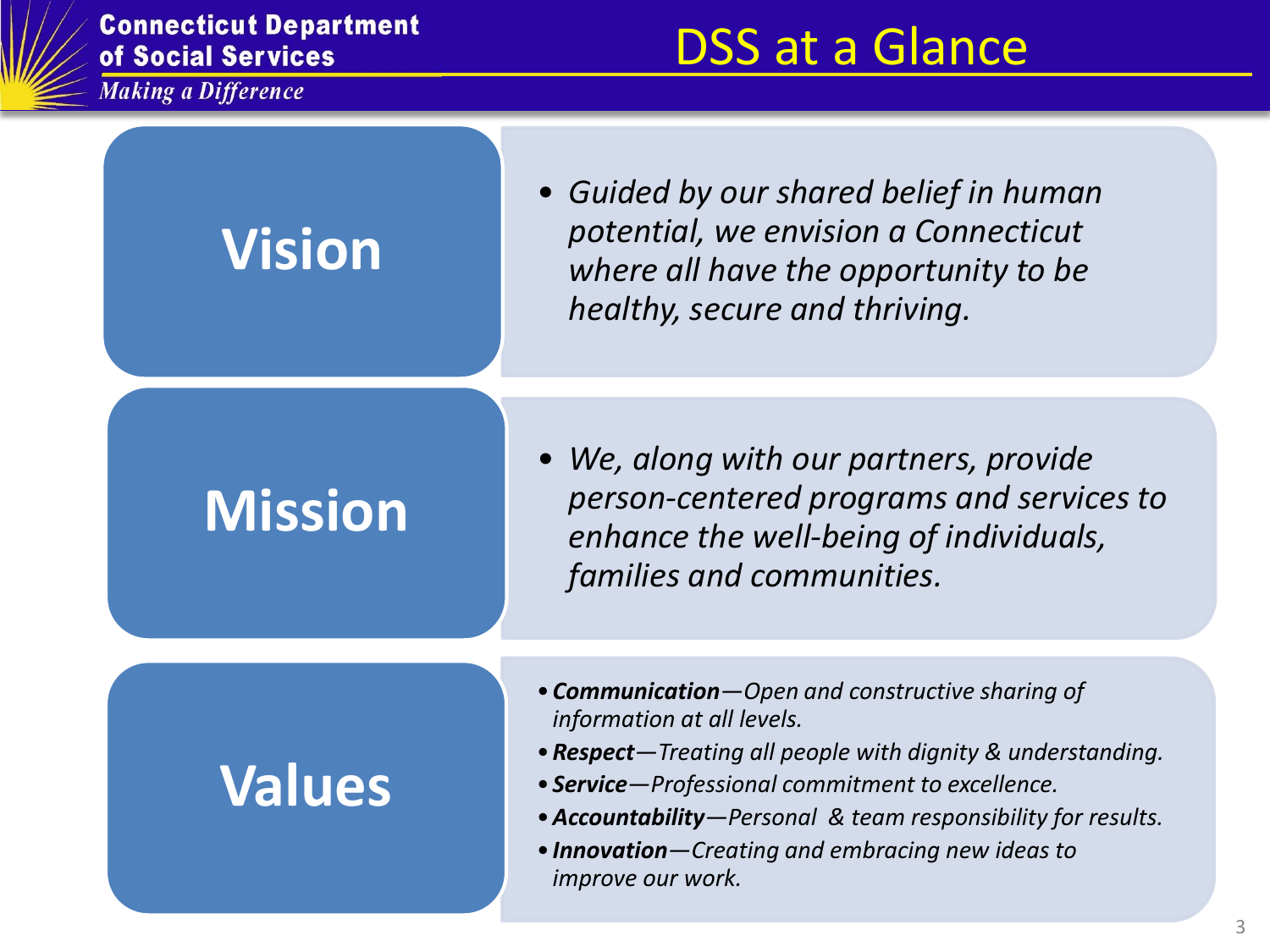

**Connecticut Department<br>of Social Services** 

Making a Difference

# DSS at a Glance

| <b>Vision</b>  | • Guided by our shared belief in human<br>potential, we envision a Connecticut<br>where all have the opportunity to be<br>healthy, secure and thriving.                                                                                                                                                                                           |
|----------------|---------------------------------------------------------------------------------------------------------------------------------------------------------------------------------------------------------------------------------------------------------------------------------------------------------------------------------------------------|
| <b>Mission</b> | • We, along with our partners, provide<br>person-centered programs and services to<br>enhance the well-being of individuals,<br>families and communities.                                                                                                                                                                                         |
| <b>Values</b>  | • Communication-Open and constructive sharing of<br>information at all levels.<br>• Respect-Treating all people with dignity & understanding.<br>• Service-Professional commitment to excellence.<br>• Accountability-Personal & team responsibility for results.<br>. Innovation-Creating and embracing new ideas to<br><i>improve our work.</i> |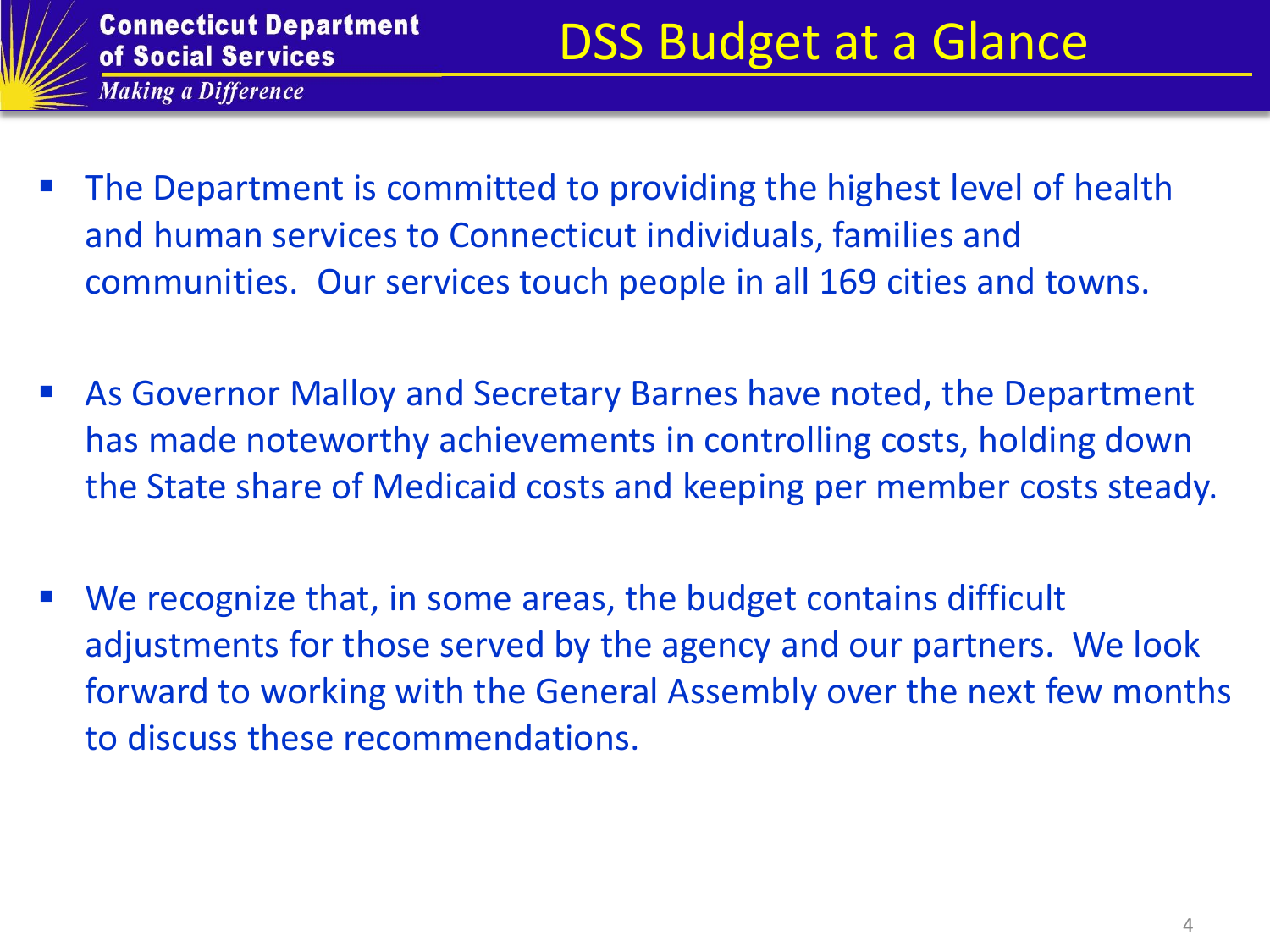

- The Department is committed to providing the highest level of health and human services to Connecticut individuals, families and communities. Our services touch people in all 169 cities and towns.
- As Governor Malloy and Secretary Barnes have noted, the Department has made noteworthy achievements in controlling costs, holding down the State share of Medicaid costs and keeping per member costs steady.
- We recognize that, in some areas, the budget contains difficult adjustments for those served by the agency and our partners. We look forward to working with the General Assembly over the next few months to discuss these recommendations.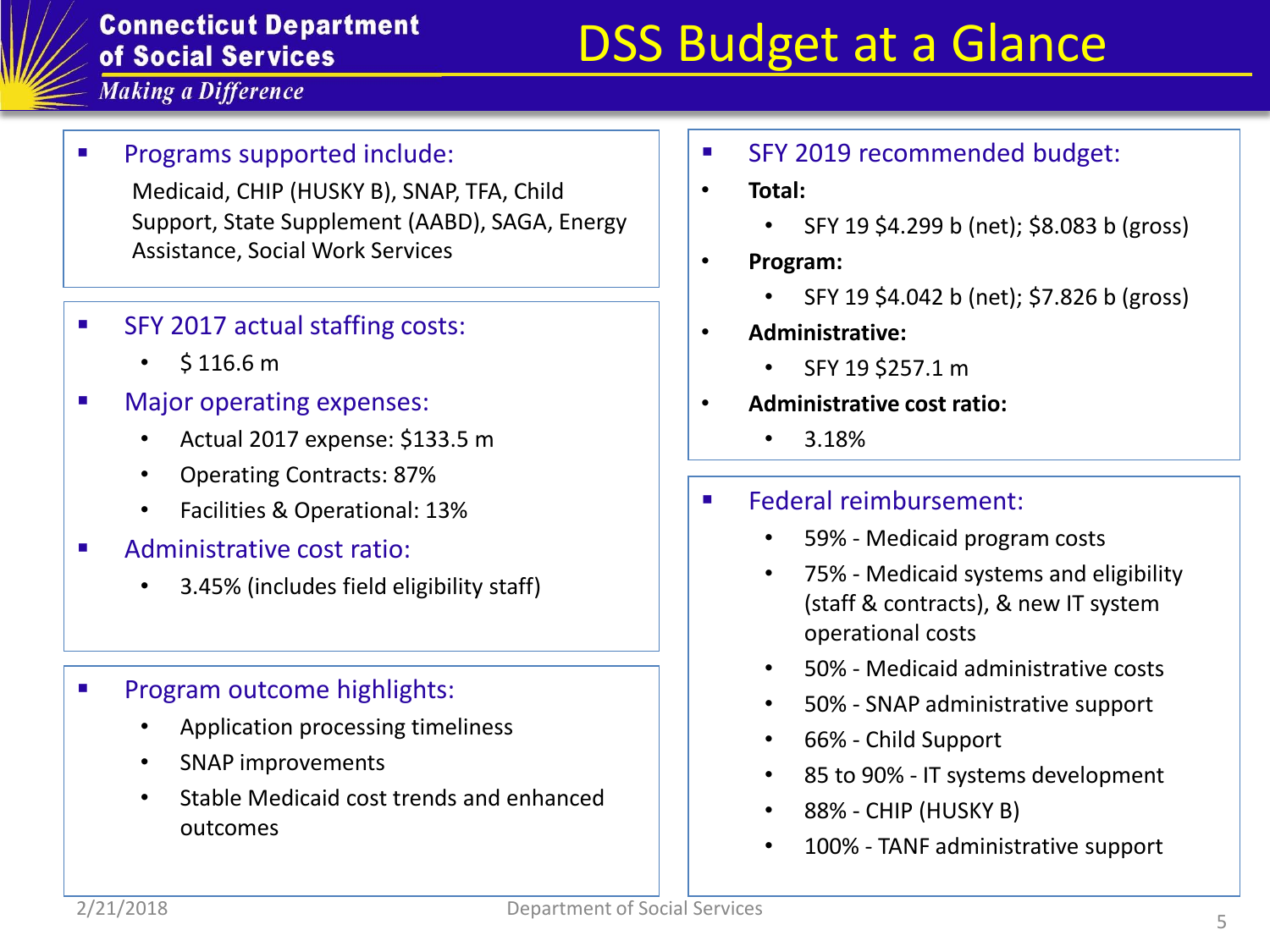#### **Connecticut Department** of Social Services

# DSS Budget at a Glance

**Making a Difference** 

#### Programs supported include:

Medicaid, CHIP (HUSKY B), SNAP, TFA, Child Support, State Supplement (AABD), SAGA, Energy Assistance, Social Work Services

- SFY 2017 actual staffing costs:
	- $\cdot$  \$116.6 m
- **Najor operating expenses:** 
	- Actual 2017 expense: \$133.5 m
	- Operating Contracts: 87%
	- Facilities & Operational: 13%
- Administrative cost ratio:
	- 3.45% (includes field eligibility staff)
- **Program outcome highlights:** 
	- Application processing timeliness
	- SNAP improvements
	- Stable Medicaid cost trends and enhanced outcomes
- **SFY 2019 recommended budget:**
- **Total:** 
	- SFY 19 \$4.299 b (net); \$8.083 b (gross)
- **Program:** 
	- SFY 19 \$4.042 b (net); \$7.826 b (gross)
- **Administrative:** 
	- SFY 19 \$257.1 m
- **Administrative cost ratio:** 
	- 3.18%
- **Federal reimbursement:** 
	- 59% Medicaid program costs
	- 75% Medicaid systems and eligibility (staff & contracts), & new IT system operational costs
	- 50% Medicaid administrative costs
	- 50% SNAP administrative support
	- 66% Child Support
	- 85 to 90% IT systems development
	- 88% CHIP (HUSKY B)
	- 100% TANF administrative support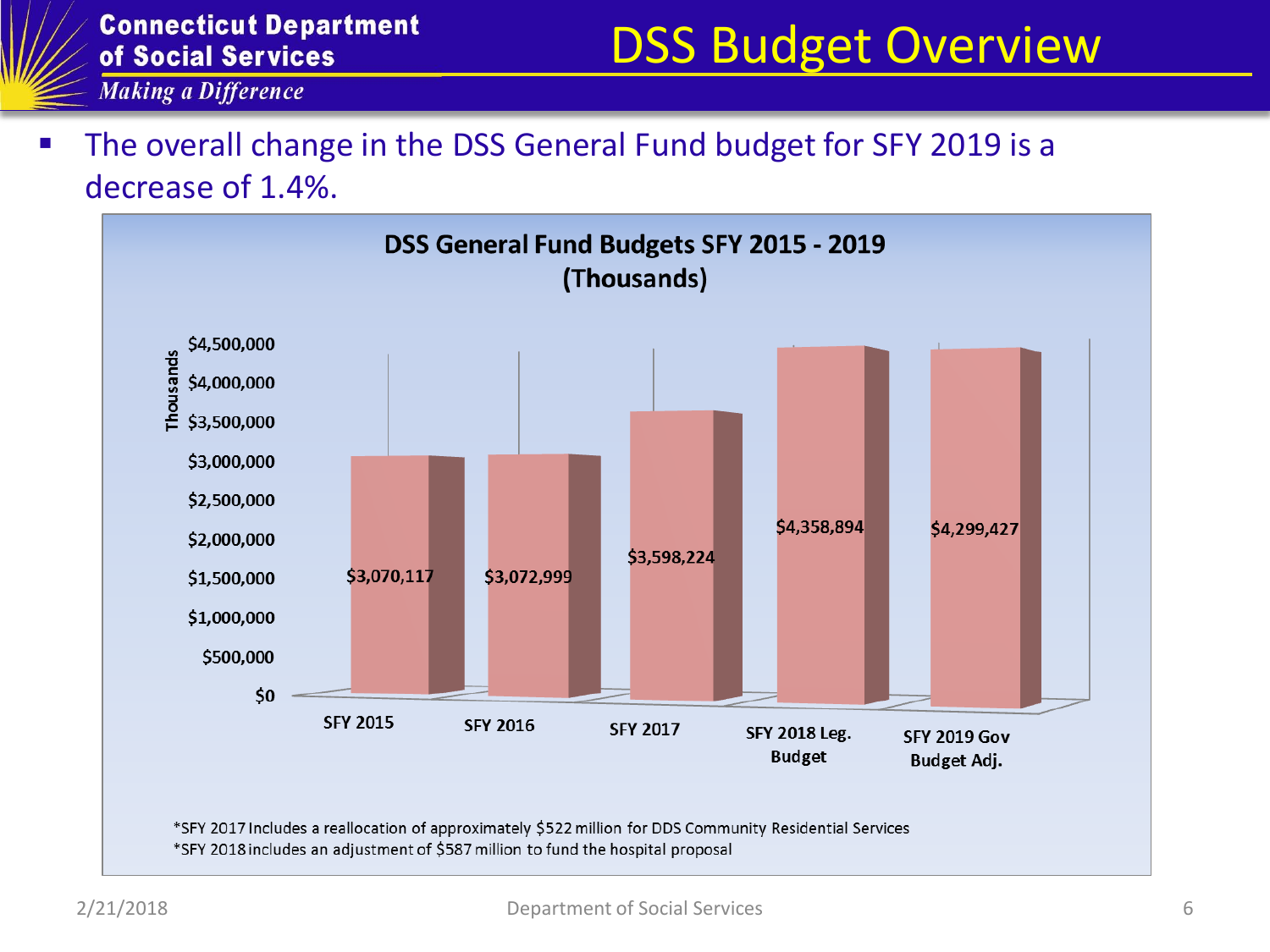# DSS Budget Overview

**Making a Difference** 

 The overall change in the DSS General Fund budget for SFY 2019 is a decrease of 1.4%.

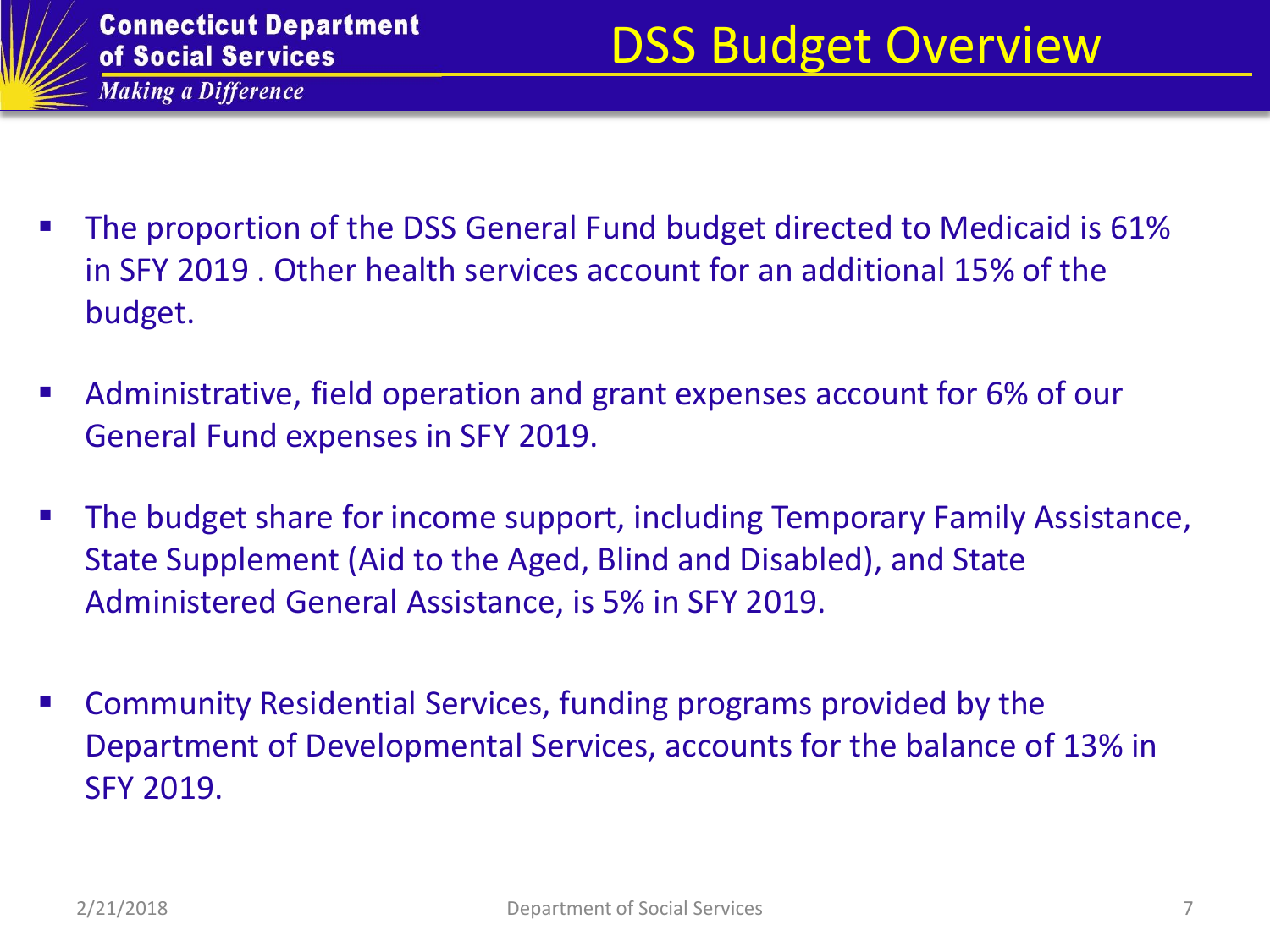- The proportion of the DSS General Fund budget directed to Medicaid is 61% in SFY 2019 . Other health services account for an additional 15% of the budget.
- Administrative, field operation and grant expenses account for 6% of our General Fund expenses in SFY 2019.
- **The budget share for income support, including Temporary Family Assistance,** State Supplement (Aid to the Aged, Blind and Disabled), and State Administered General Assistance, is 5% in SFY 2019.
- Community Residential Services, funding programs provided by the Department of Developmental Services, accounts for the balance of 13% in SFY 2019.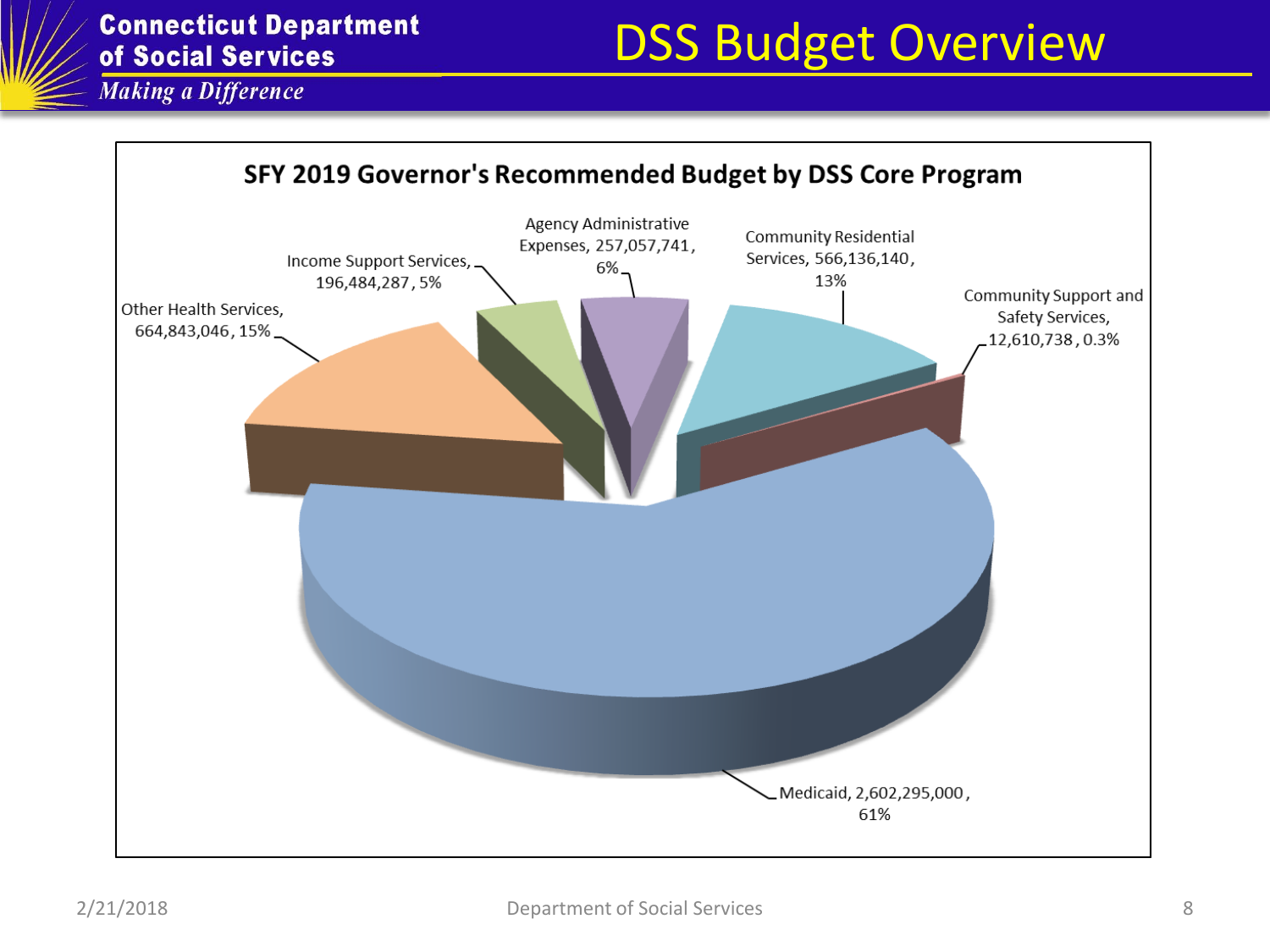# DSS Budget Overview

**Making a Difference** 

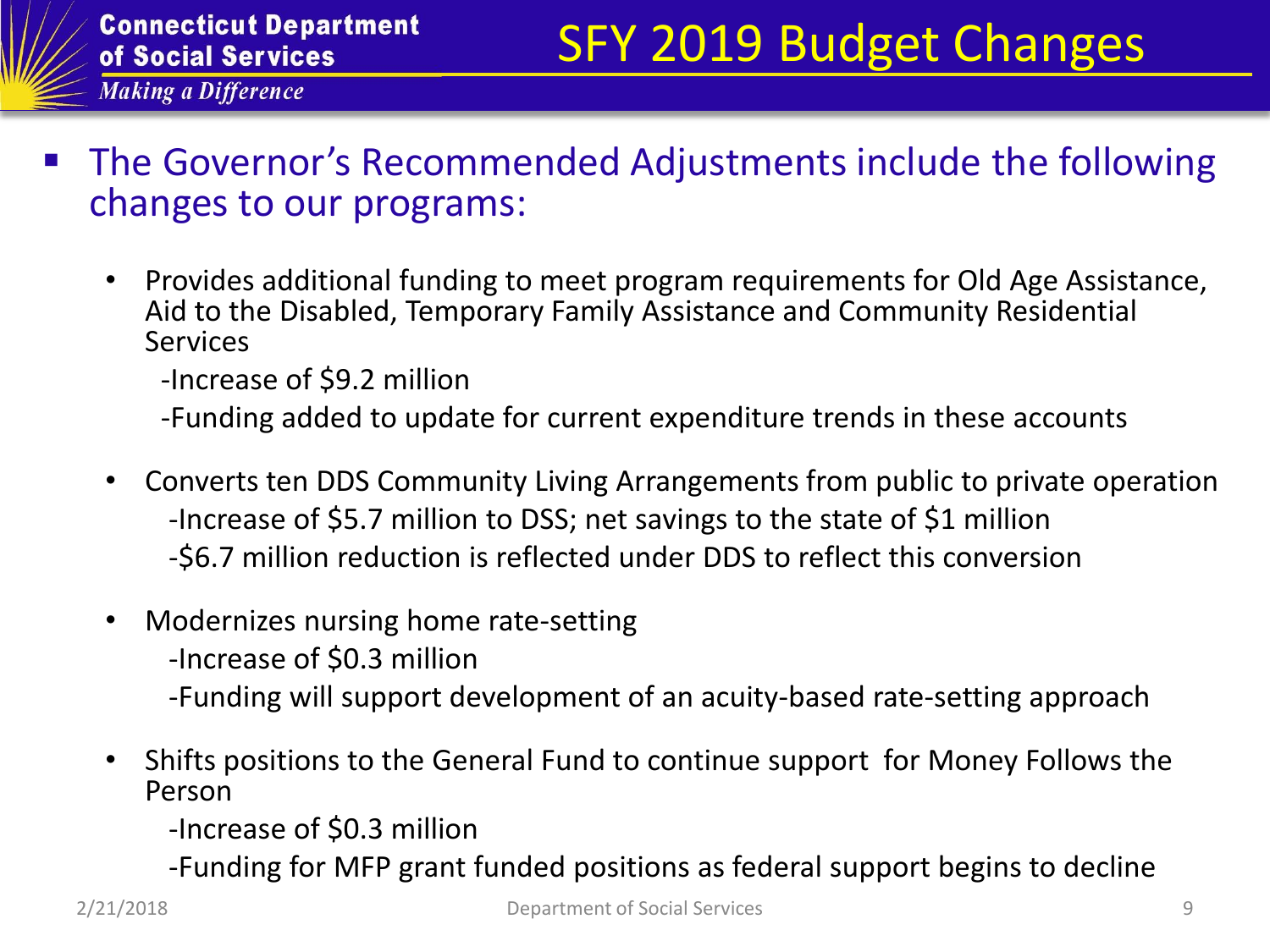- The Governor's Recommended Adjustments include the following changes to our programs:
	- Provides additional funding to meet program requirements for Old Age Assistance, Aid to the Disabled, Temporary Family Assistance and Community Residential Services

-Increase of \$9.2 million

-Funding added to update for current expenditure trends in these accounts

- Converts ten DDS Community Living Arrangements from public to private operation -Increase of \$5.7 million to DSS; net savings to the state of \$1 million -\$6.7 million reduction is reflected under DDS to reflect this conversion
- Modernizes nursing home rate-setting
	- -Increase of \$0.3 million
	- -Funding will support development of an acuity-based rate-setting approach
- Shifts positions to the General Fund to continue support for Money Follows the Person
	- -Increase of \$0.3 million
	- -Funding for MFP grant funded positions as federal support begins to decline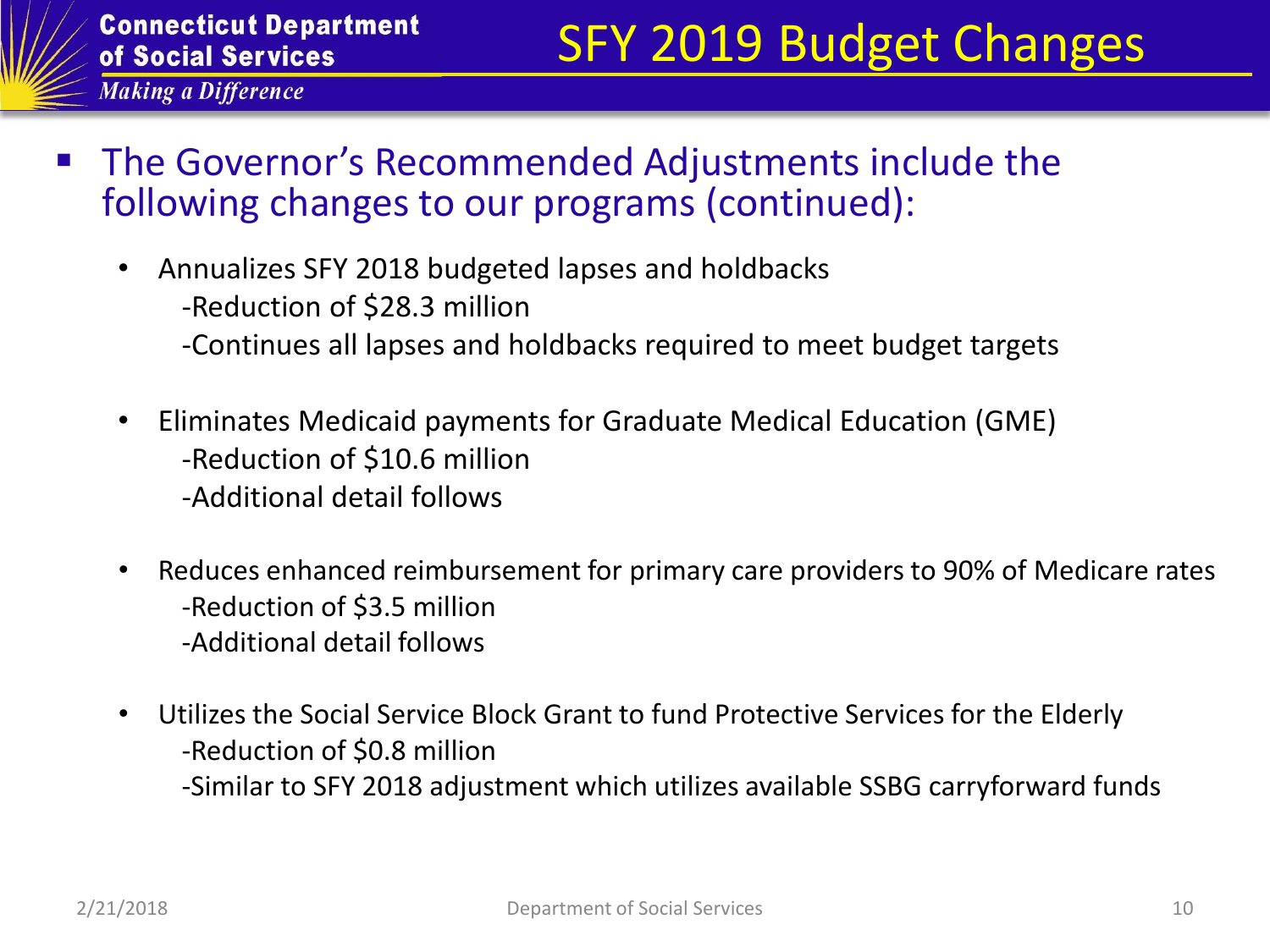

- The Governor's Recommended Adjustments include the following changes to our programs (continued):
	- Annualizes SFY 2018 budgeted lapses and holdbacks
		- -Reduction of \$28.3 million
		- -Continues all lapses and holdbacks required to meet budget targets
	- Eliminates Medicaid payments for Graduate Medical Education (GME) -Reduction of \$10.6 million
		- -Additional detail follows
	- Reduces enhanced reimbursement for primary care providers to 90% of Medicare rates -Reduction of \$3.5 million -Additional detail follows
	- Utilizes the Social Service Block Grant to fund Protective Services for the Elderly -Reduction of \$0.8 million
		- -Similar to SFY 2018 adjustment which utilizes available SSBG carryforward funds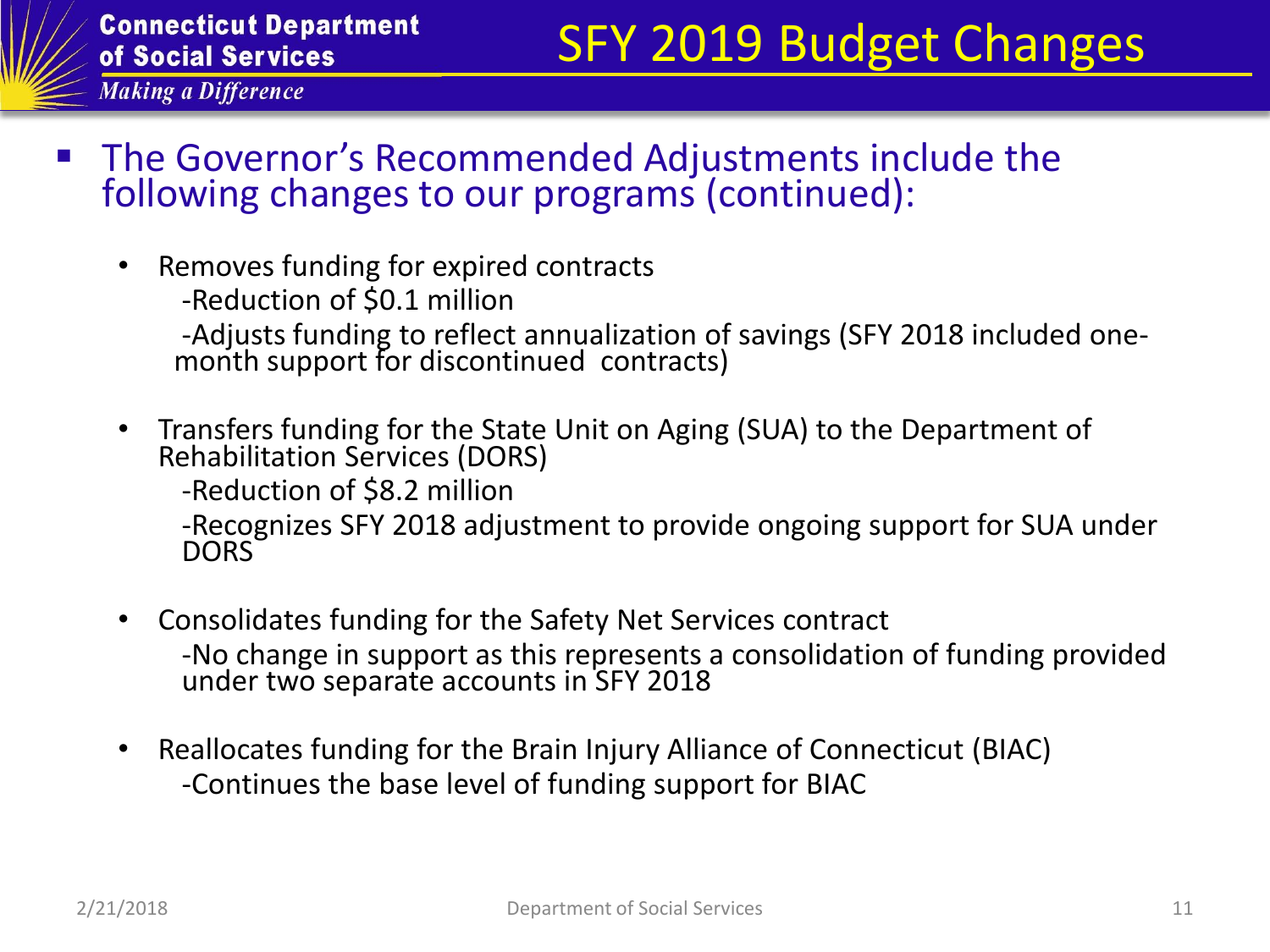

- The Governor's Recommended Adjustments include the following changes to our programs (continued):
	- Removes funding for expired contracts
		- -Reduction of \$0.1 million

-Adjusts funding to reflect annualization of savings (SFY 2018 included onemonth support for discontinued contracts)

• Transfers funding for the State Unit on Aging (SUA) to the Department of Rehabilitation Services (DORS)

-Reduction of \$8.2 million

-Recognizes SFY 2018 adjustment to provide ongoing support for SUA under **DORS** 

- Consolidates funding for the Safety Net Services contract -No change in support as this represents a consolidation of funding provided under two separate accounts in SFY 2018
- Reallocates funding for the Brain Injury Alliance of Connecticut (BIAC) -Continues the base level of funding support for BIAC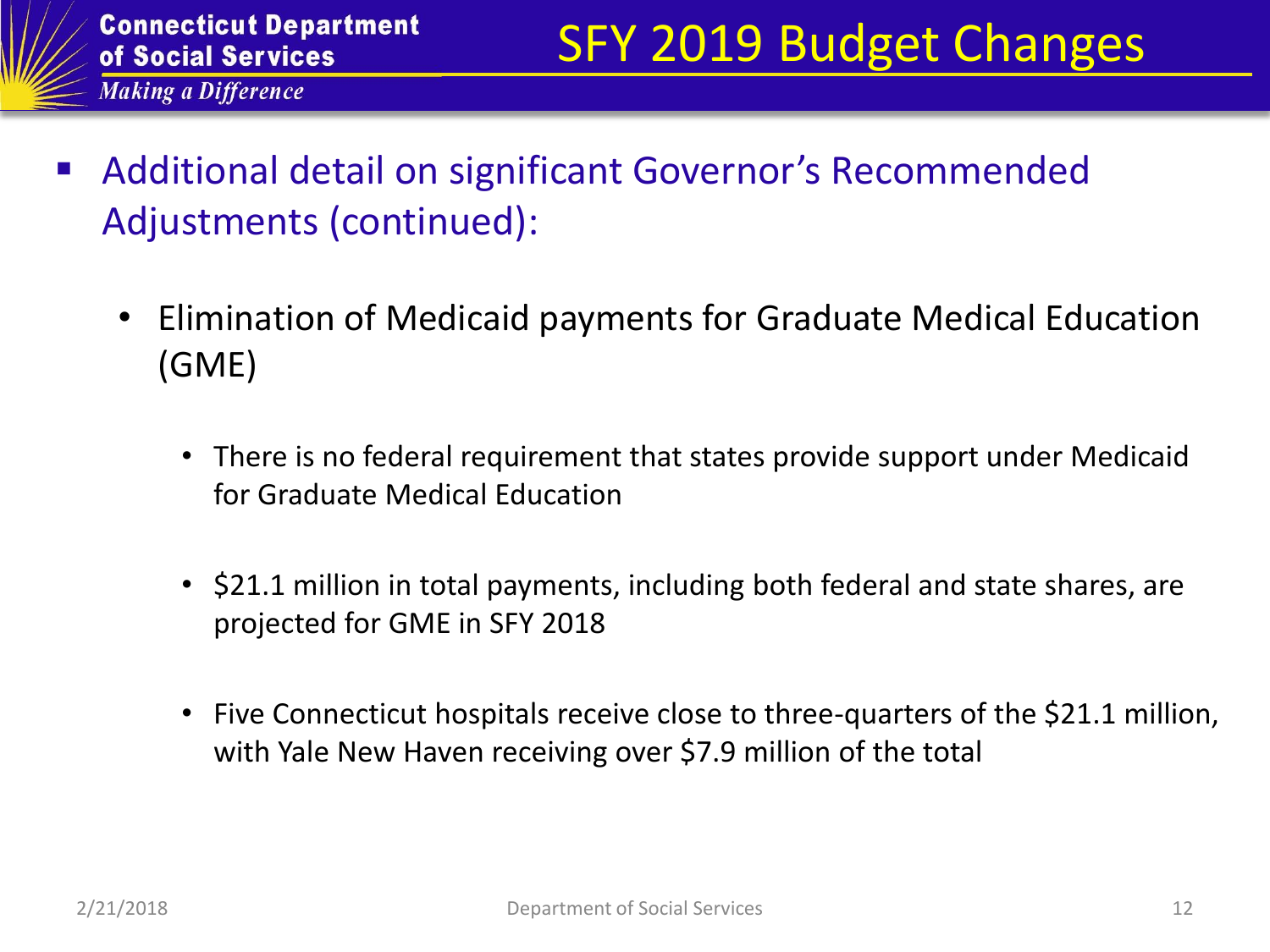- Additional detail on significant Governor's Recommended Adjustments (continued):
	- Elimination of Medicaid payments for Graduate Medical Education (GME)
		- There is no federal requirement that states provide support under Medicaid for Graduate Medical Education
		- \$21.1 million in total payments, including both federal and state shares, are projected for GME in SFY 2018
		- Five Connecticut hospitals receive close to three-quarters of the \$21.1 million, with Yale New Haven receiving over \$7.9 million of the total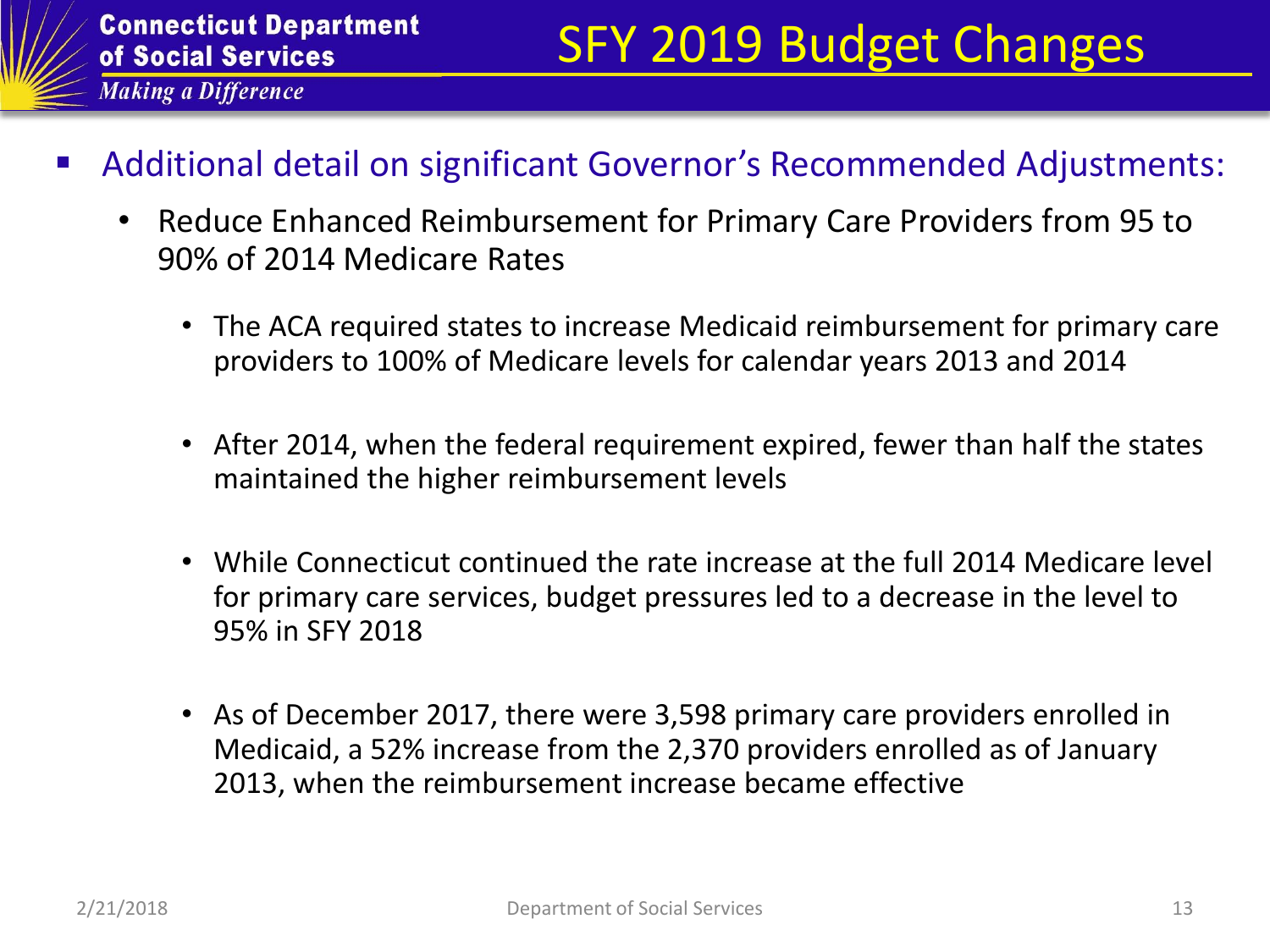- Additional detail on significant Governor's Recommended Adjustments:
	- Reduce Enhanced Reimbursement for Primary Care Providers from 95 to 90% of 2014 Medicare Rates
		- The ACA required states to increase Medicaid reimbursement for primary care providers to 100% of Medicare levels for calendar years 2013 and 2014
		- After 2014, when the federal requirement expired, fewer than half the states maintained the higher reimbursement levels
		- While Connecticut continued the rate increase at the full 2014 Medicare level for primary care services, budget pressures led to a decrease in the level to 95% in SFY 2018
		- As of December 2017, there were 3,598 primary care providers enrolled in Medicaid, a 52% increase from the 2,370 providers enrolled as of January 2013, when the reimbursement increase became effective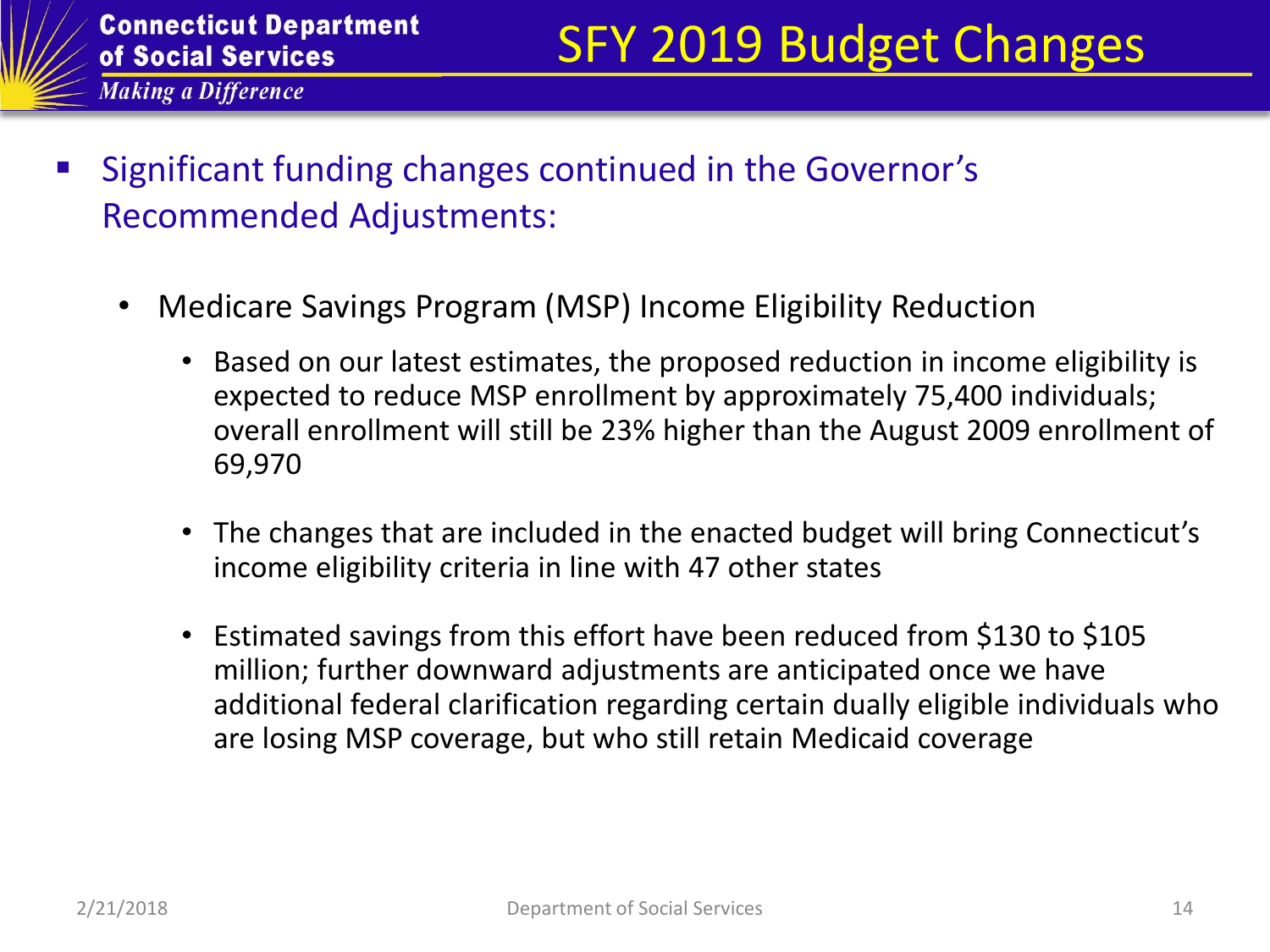- Significant funding changes continued in the Governor's Recommended Adjustments:
	- Medicare Savings Program (MSP) Income Eligibility Reduction
		- Based on our latest estimates, the proposed reduction in income eligibility is expected to reduce MSP enrollment by approximately 75,400 individuals; overall enrollment will still be 23% higher than the August 2009 enrollment of 69,970
		- The changes that are included in the enacted budget will bring Connecticut's income eligibility criteria in line with 47 other states
		- Estimated savings from this effort have been reduced from \$130 to \$105 million; further downward adjustments are anticipated once we have additional federal clarification regarding certain dually eligible individuals who are losing MSP coverage, but who still retain Medicaid coverage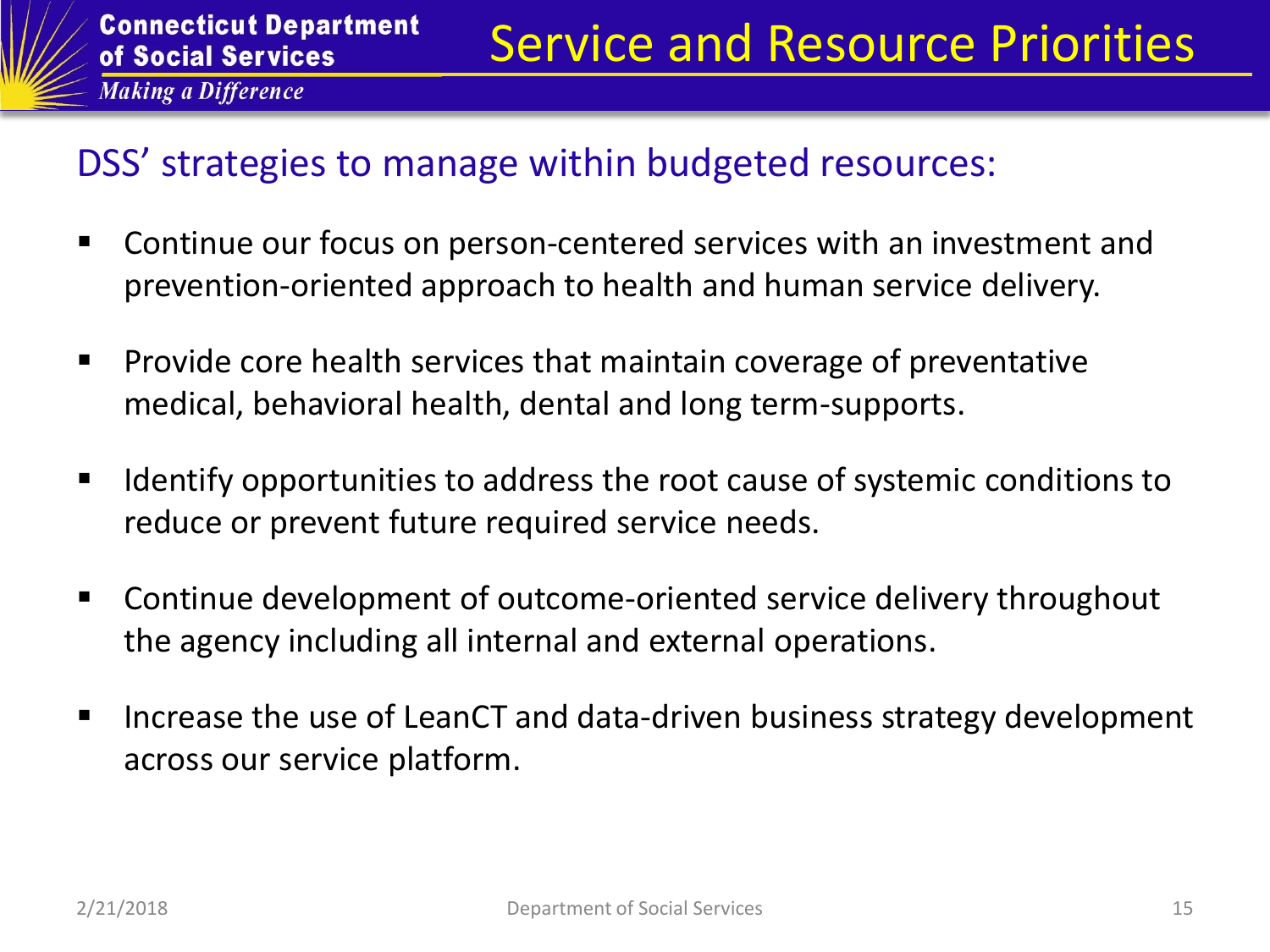#### DSS' strategies to manage within budgeted resources:

- Continue our focus on person-centered services with an investment and prevention-oriented approach to health and human service delivery.
- **Provide core health services that maintain coverage of preventative** medical, behavioral health, dental and long term-supports.
- Identify opportunities to address the root cause of systemic conditions to reduce or prevent future required service needs.
- Continue development of outcome-oriented service delivery throughout the agency including all internal and external operations.
- Increase the use of LeanCT and data-driven business strategy development across our service platform.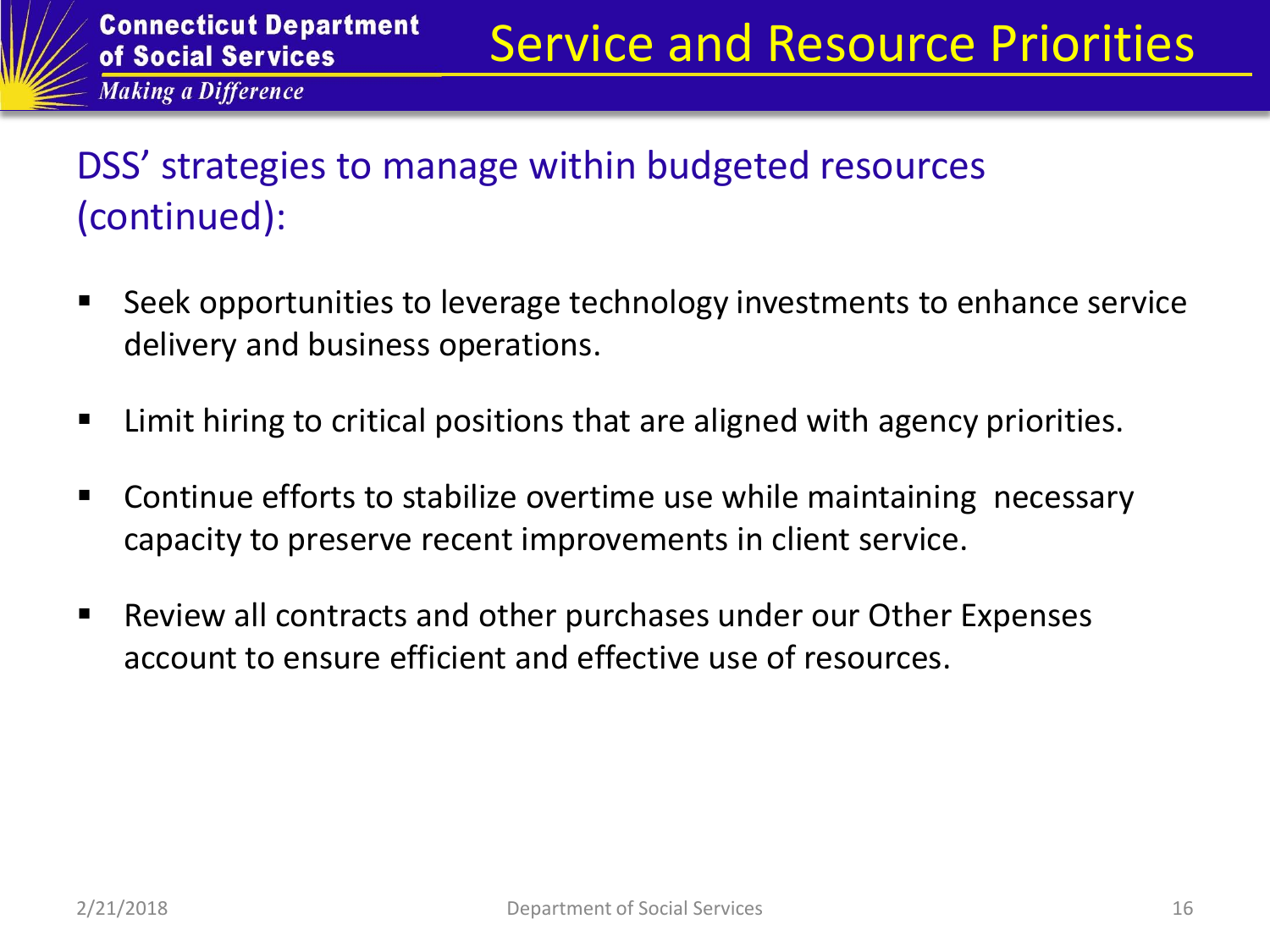## DSS' strategies to manage within budgeted resources (continued):

- **Seek opportunities to leverage technology investments to enhance service** delivery and business operations.
- Limit hiring to critical positions that are aligned with agency priorities.
- Continue efforts to stabilize overtime use while maintaining necessary capacity to preserve recent improvements in client service.
- Review all contracts and other purchases under our Other Expenses account to ensure efficient and effective use of resources.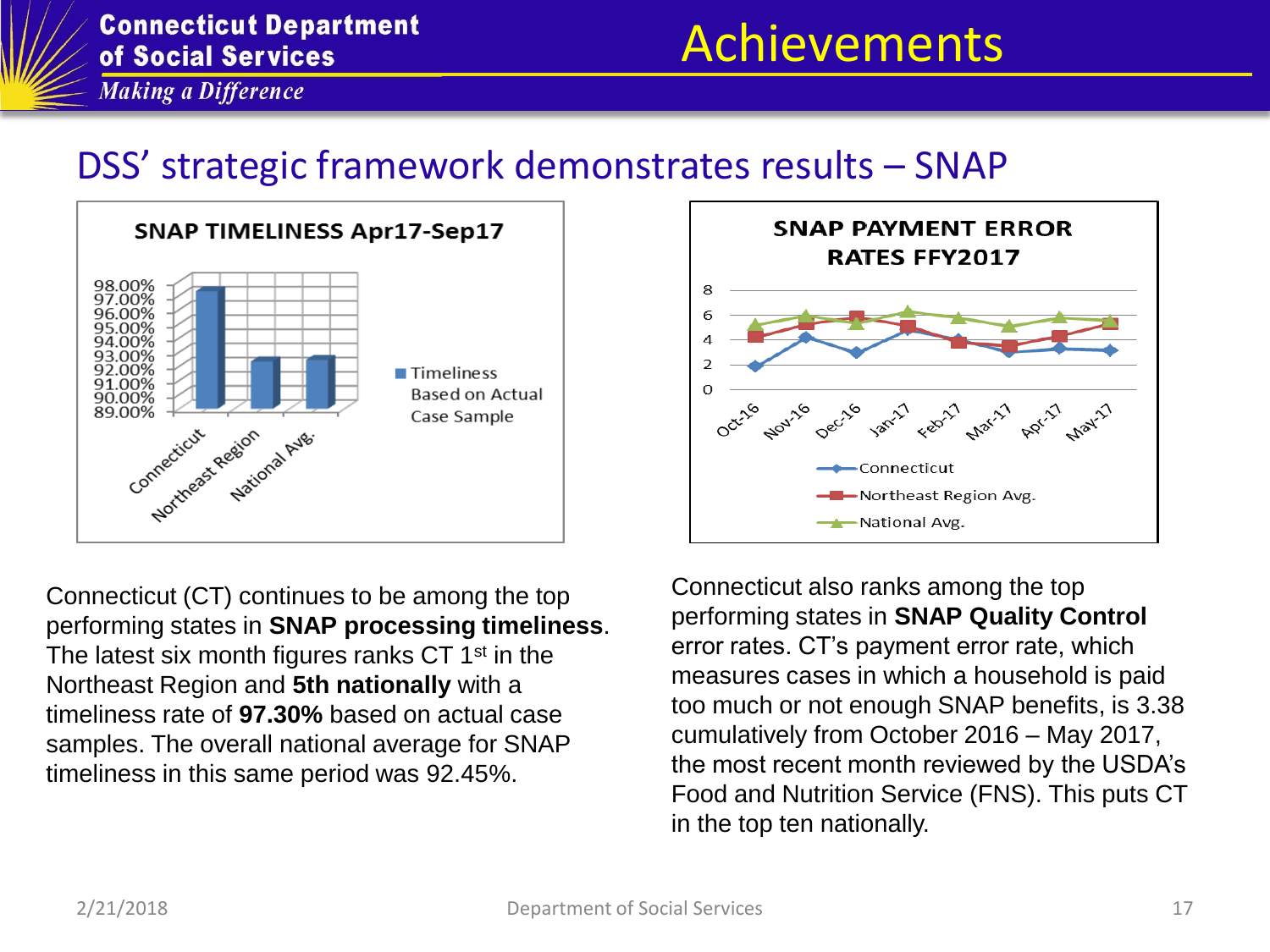

## Achievements

**Making a Difference** 

#### DSS' strategic framework demonstrates results – SNAP



Connecticut (CT) continues to be among the top performing states in **SNAP processing timeliness**. The latest six month figures ranks CT  $1<sup>st</sup>$  in the Northeast Region and **5th nationally** with a timeliness rate of **97.30%** based on actual case samples. The overall national average for SNAP timeliness in this same period was 92.45%.



Connecticut also ranks among the top performing states in **SNAP Quality Control**  error rates. CT's payment error rate, which measures cases in which a household is paid too much or not enough SNAP benefits, is 3.38 cumulatively from October 2016 – May 2017, the most recent month reviewed by the USDA's Food and Nutrition Service (FNS). This puts CT in the top ten nationally.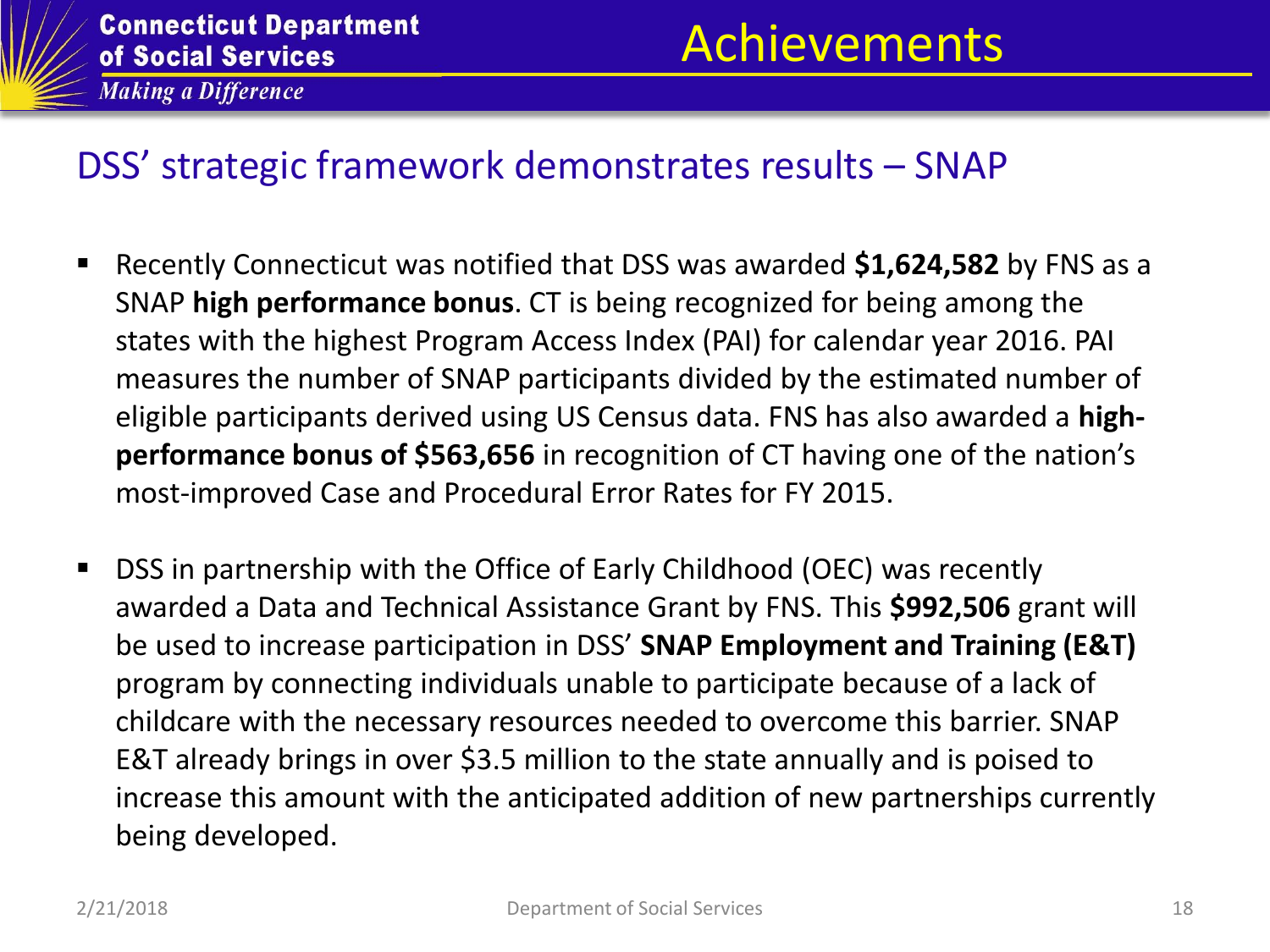

# Achievements

#### DSS' strategic framework demonstrates results – SNAP

- Recently Connecticut was notified that DSS was awarded **\$1,624,582** by FNS as a SNAP **high performance bonus**. CT is being recognized for being among the states with the highest Program Access Index (PAI) for calendar year 2016. PAI measures the number of SNAP participants divided by the estimated number of eligible participants derived using US Census data. FNS has also awarded a **highperformance bonus of \$563,656** in recognition of CT having one of the nation's most-improved Case and Procedural Error Rates for FY 2015.
- DSS in partnership with the Office of Early Childhood (OEC) was recently awarded a Data and Technical Assistance Grant by FNS. This **\$992,506** grant will be used to increase participation in DSS' **SNAP Employment and Training (E&T)** program by connecting individuals unable to participate because of a lack of childcare with the necessary resources needed to overcome this barrier. SNAP E&T already brings in over \$3.5 million to the state annually and is poised to increase this amount with the anticipated addition of new partnerships currently being developed.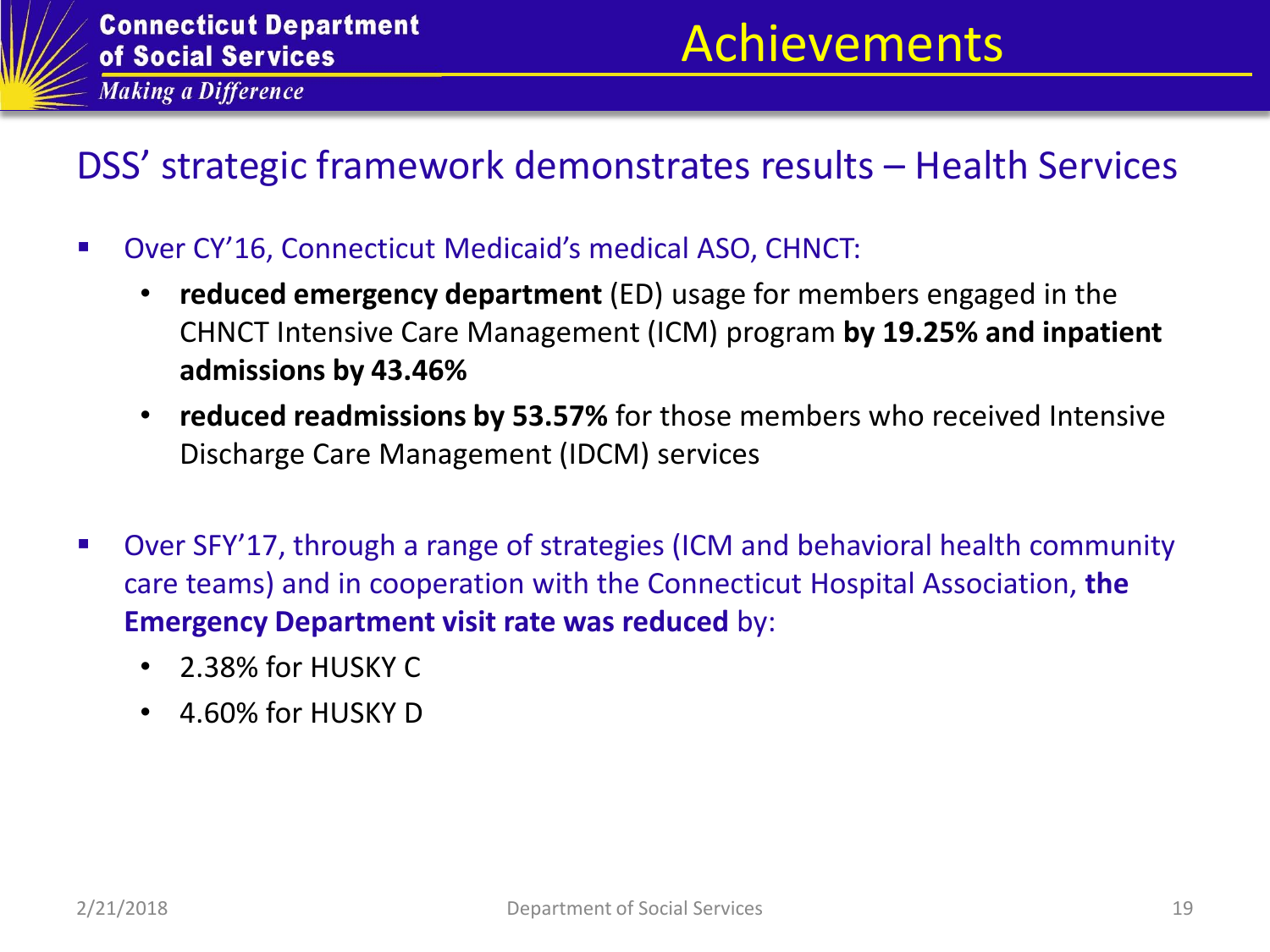

# Achievements

### DSS' strategic framework demonstrates results – Health Services

- Over CY'16, Connecticut Medicaid's medical ASO, CHNCT:
	- **reduced emergency department** (ED) usage for members engaged in the CHNCT Intensive Care Management (ICM) program **by 19.25% and inpatient admissions by 43.46%**
	- **reduced readmissions by 53.57%** for those members who received Intensive Discharge Care Management (IDCM) services
- Over SFY'17, through a range of strategies (ICM and behavioral health community care teams) and in cooperation with the Connecticut Hospital Association, **the Emergency Department visit rate was reduced** by:
	- 2.38% for HUSKY C
	- 4.60% for HUSKY D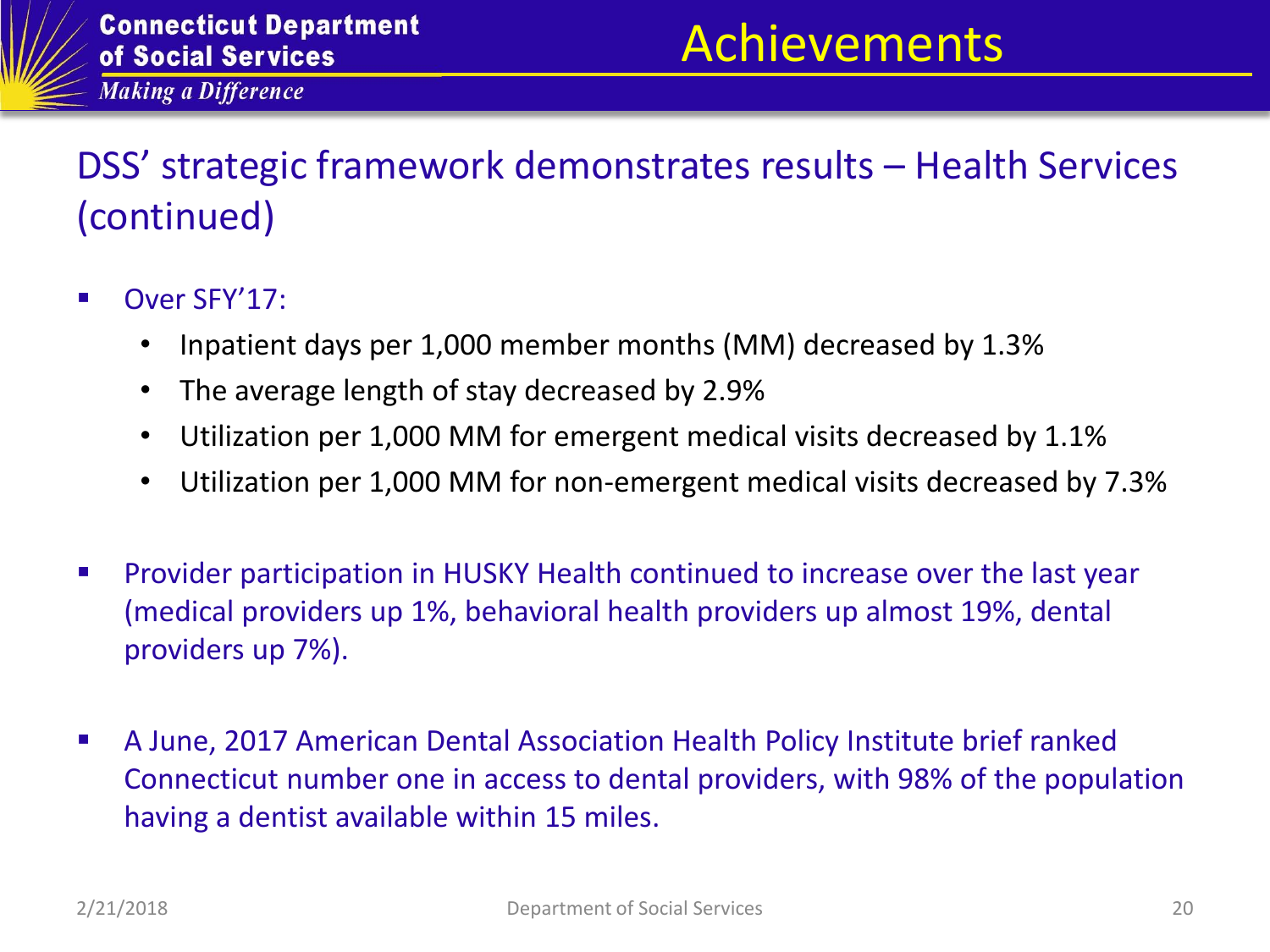## DSS' strategic framework demonstrates results – Health Services (continued)

- Over SFY'17:
	- Inpatient days per 1,000 member months (MM) decreased by 1.3%
	- The average length of stay decreased by 2.9%
	- Utilization per 1,000 MM for emergent medical visits decreased by 1.1%
	- Utilization per 1,000 MM for non-emergent medical visits decreased by 7.3%
- **Provider participation in HUSKY Health continued to increase over the last year** (medical providers up 1%, behavioral health providers up almost 19%, dental providers up 7%).
- A June, 2017 American Dental Association Health Policy Institute brief ranked Connecticut number one in access to dental providers, with 98% of the population having a dentist available within 15 miles.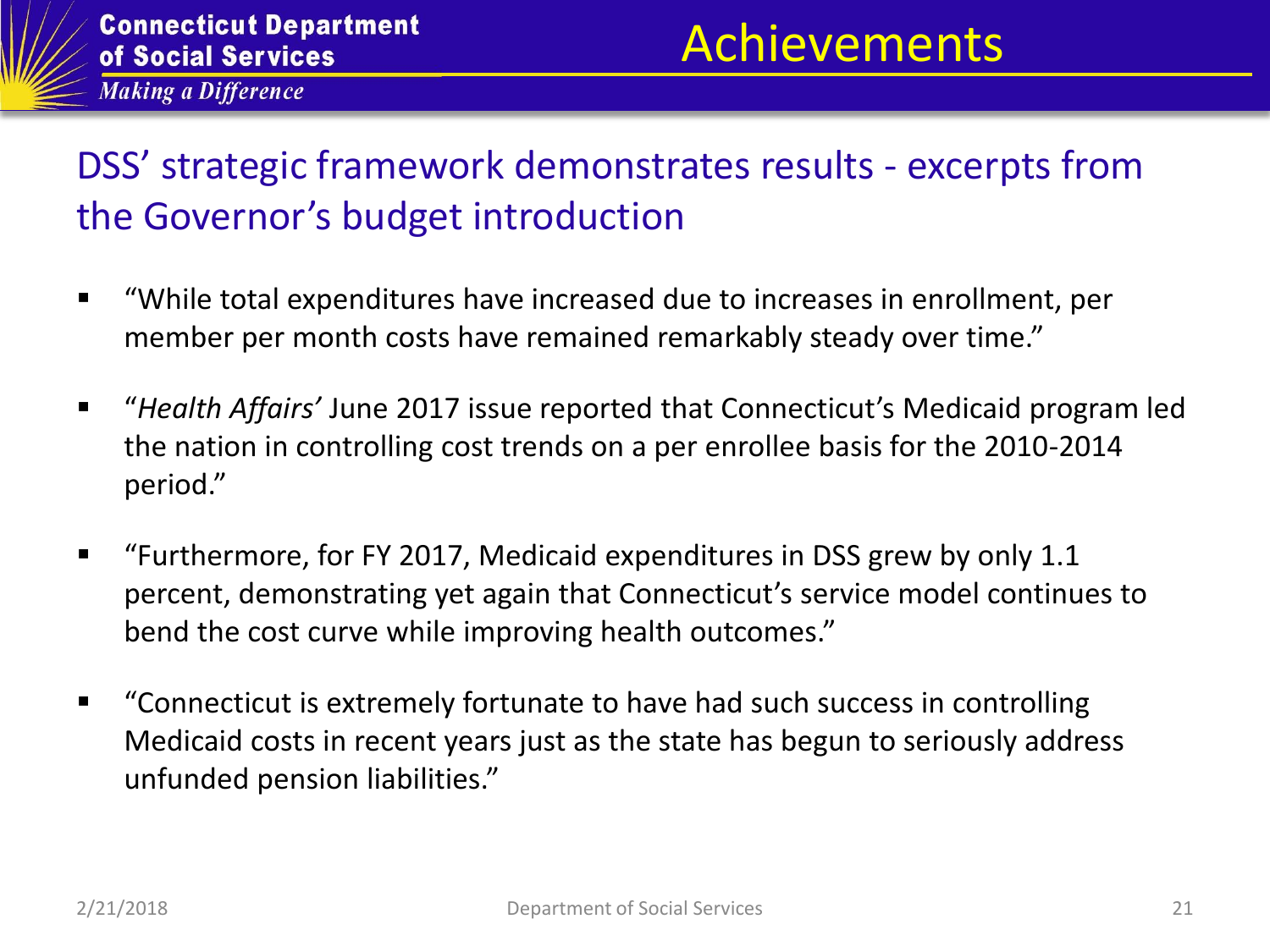# Achievements

### DSS' strategic framework demonstrates results - excerpts from the Governor's budget introduction

- "While total expenditures have increased due to increases in enrollment, per member per month costs have remained remarkably steady over time."
- "*Health Affairs'* June 2017 issue reported that Connecticut's Medicaid program led the nation in controlling cost trends on a per enrollee basis for the 2010-2014 period."
- "Furthermore, for FY 2017, Medicaid expenditures in DSS grew by only 1.1 percent, demonstrating yet again that Connecticut's service model continues to bend the cost curve while improving health outcomes."
- "Connecticut is extremely fortunate to have had such success in controlling Medicaid costs in recent years just as the state has begun to seriously address unfunded pension liabilities."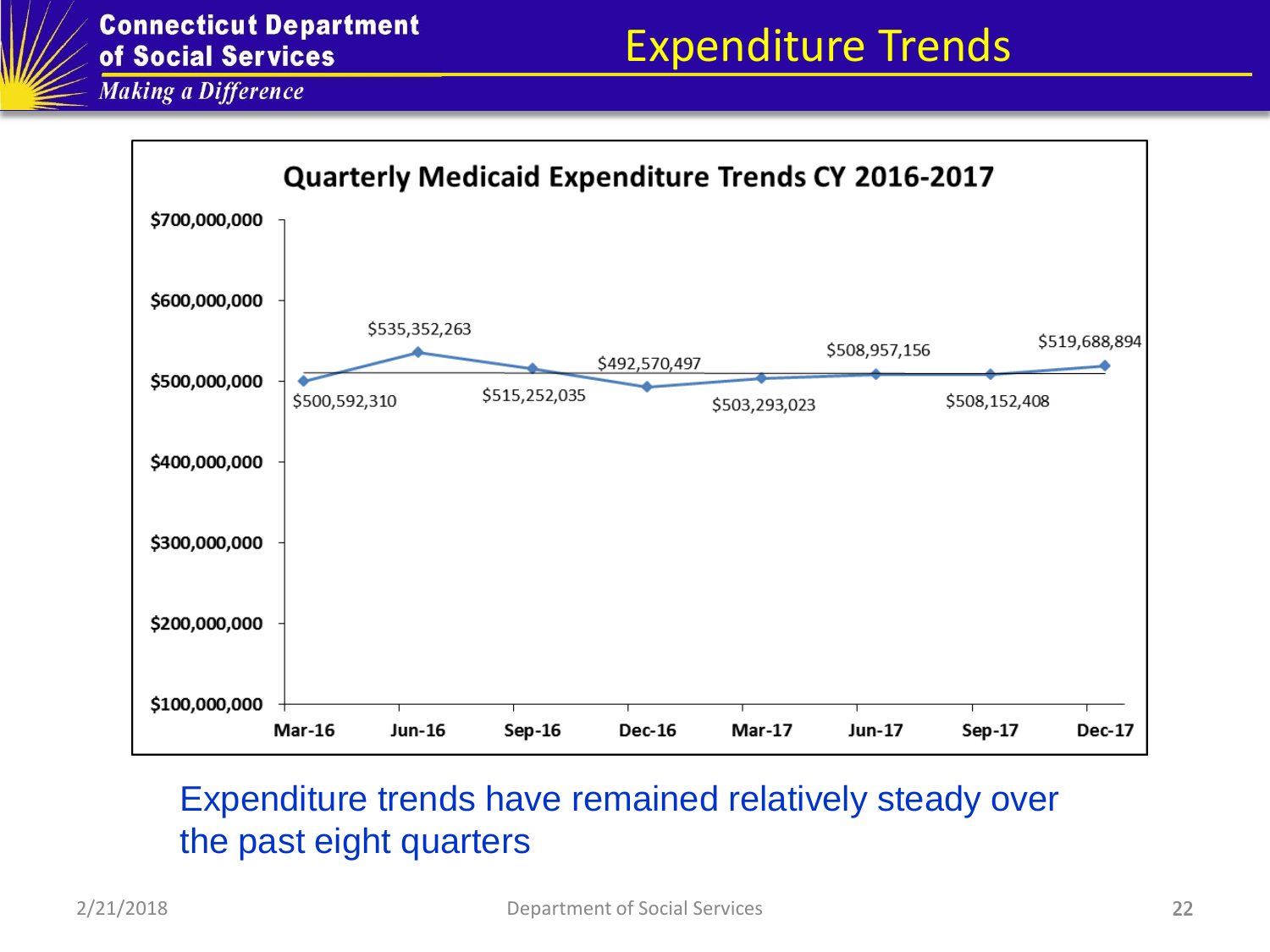

#### Expenditure trends have remained relatively steady over the past eight quarters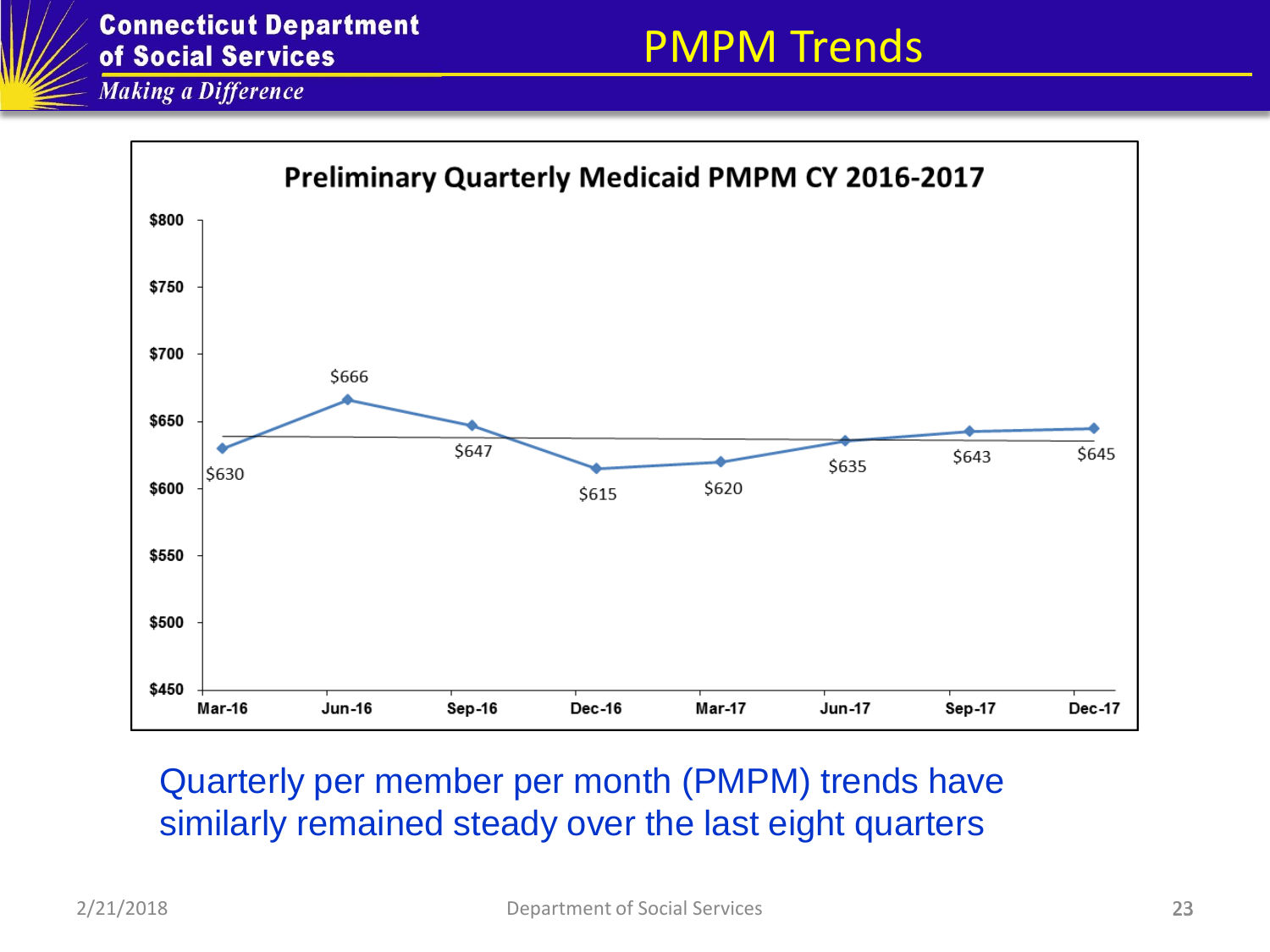

#### Quarterly per member per month (PMPM) trends have similarly remained steady over the last eight quarters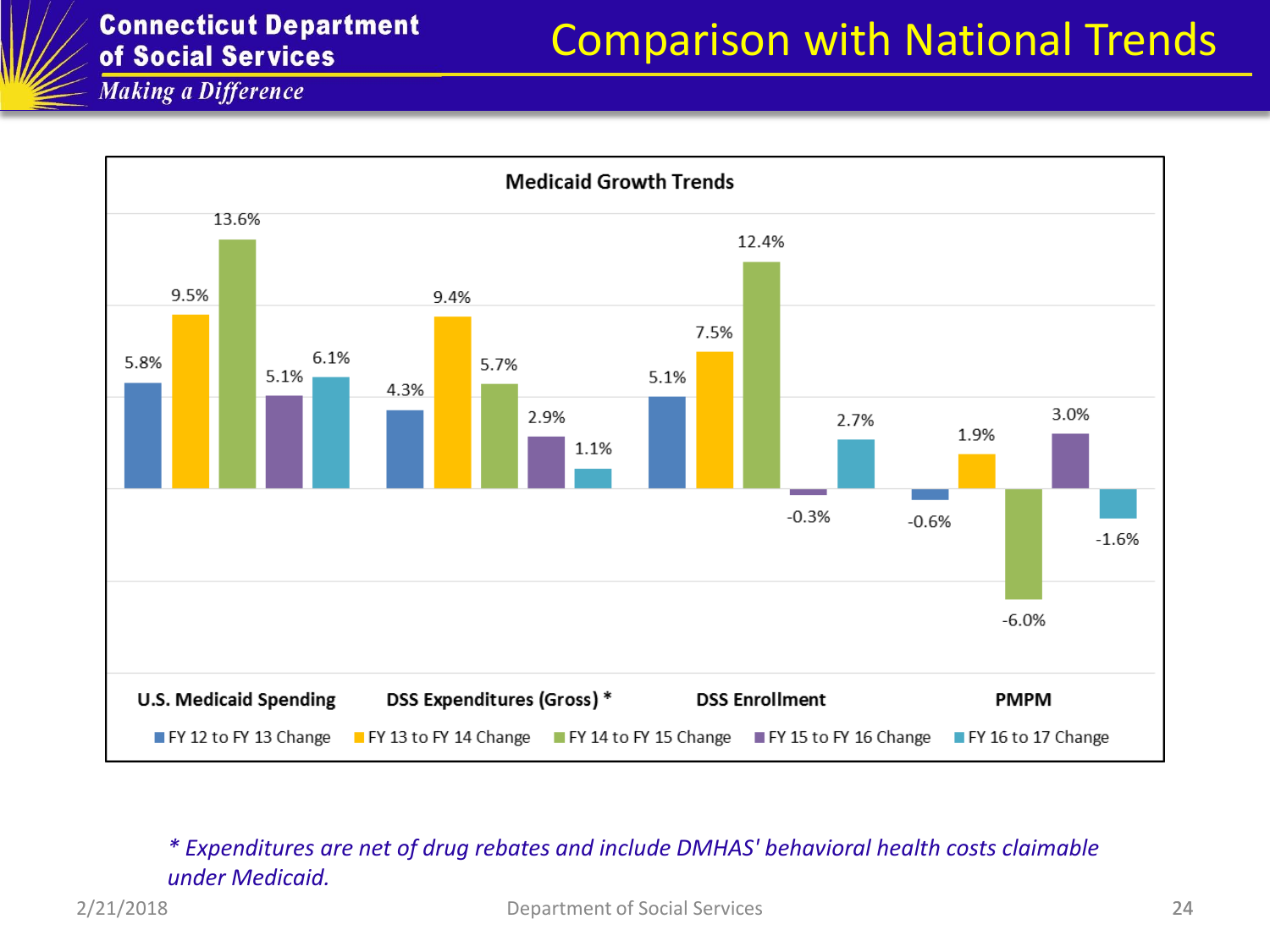

#### *\* Expenditures are net of drug rebates and include DMHAS' behavioral health costs claimable under Medicaid.*

2/21/2018 Department of Social Services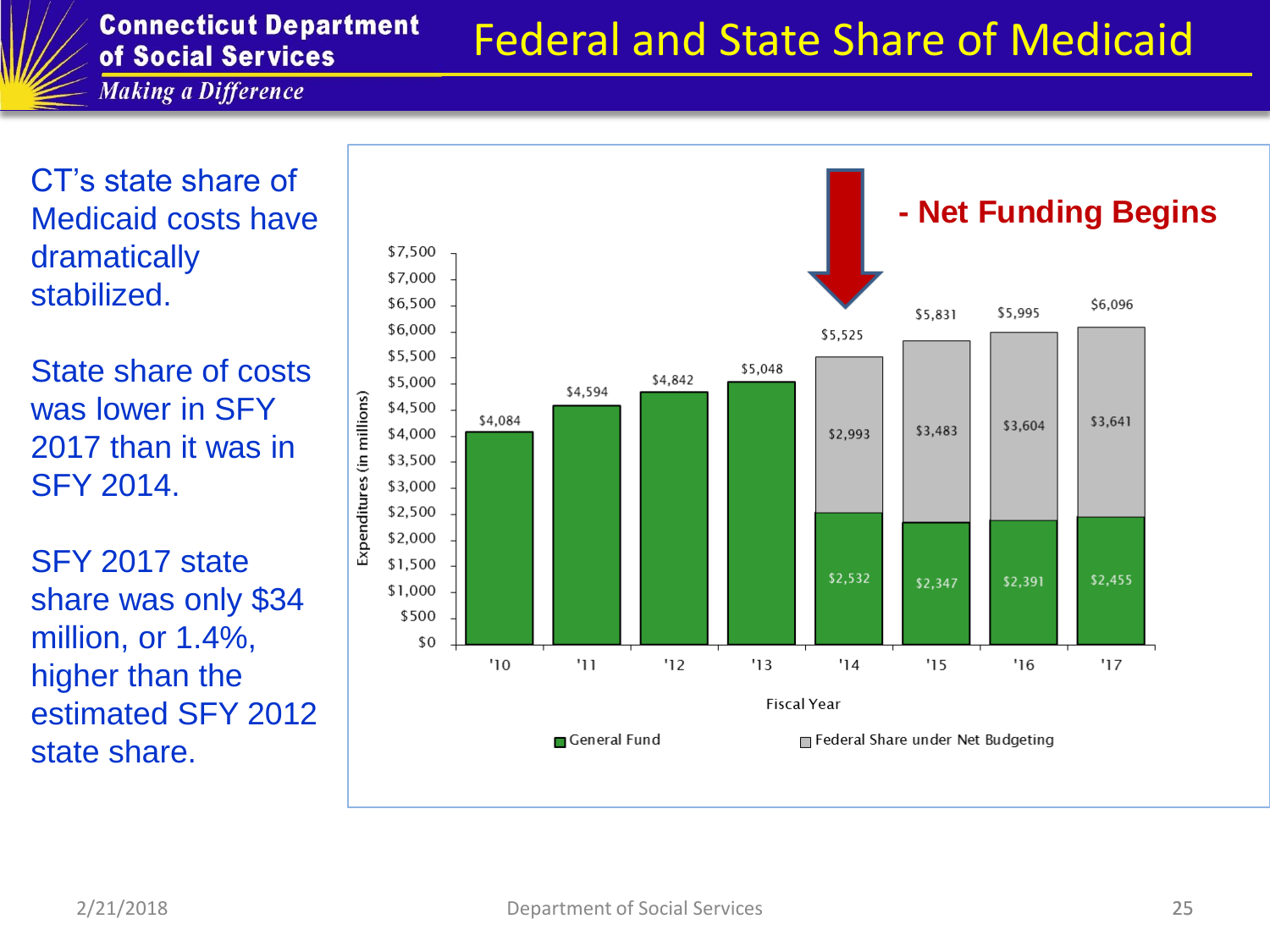# Federal and State Share of Medicaid

**Making a Difference** 

CT's state share of Medicaid costs have dramatically stabilized.

State share of costs was lower in SFY 2017 than it was in SFY 2014.

SFY 2017 state share was only \$34 million, or 1.4%, higher than the estimated SFY 2012 state share.

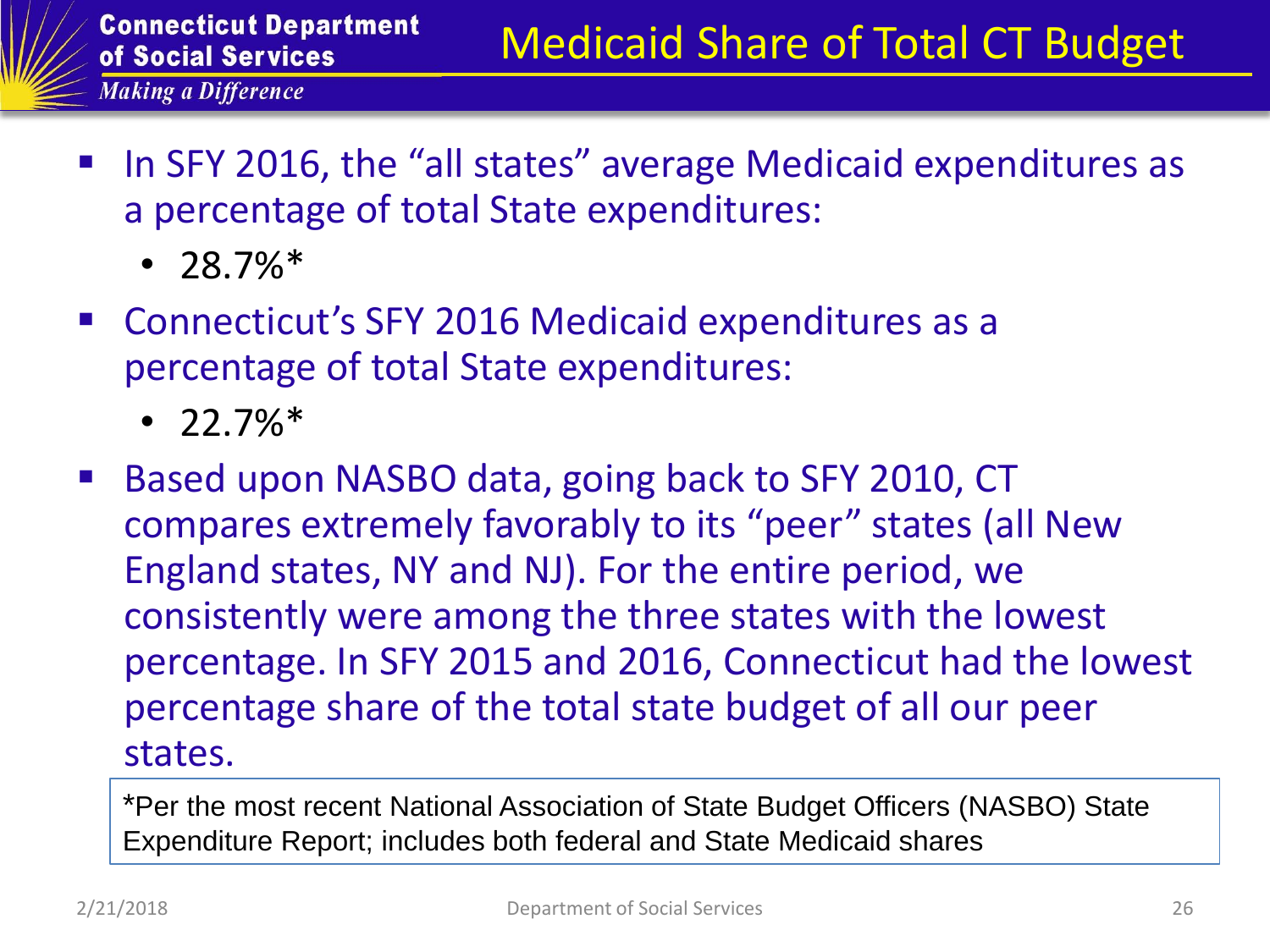- In SFY 2016, the "all states" average Medicaid expenditures as a percentage of total State expenditures:
	- $28.7\%*$
- Connecticut's SFY 2016 Medicaid expenditures as a percentage of total State expenditures:
	- $\cdot$  22.7% $*$
- Based upon NASBO data, going back to SFY 2010, CT compares extremely favorably to its "peer" states (all New England states, NY and NJ). For the entire period, we consistently were among the three states with the lowest percentage. In SFY 2015 and 2016, Connecticut had the lowest percentage share of the total state budget of all our peer states.

\*Per the most recent National Association of State Budget Officers (NASBO) State Expenditure Report; includes both federal and State Medicaid shares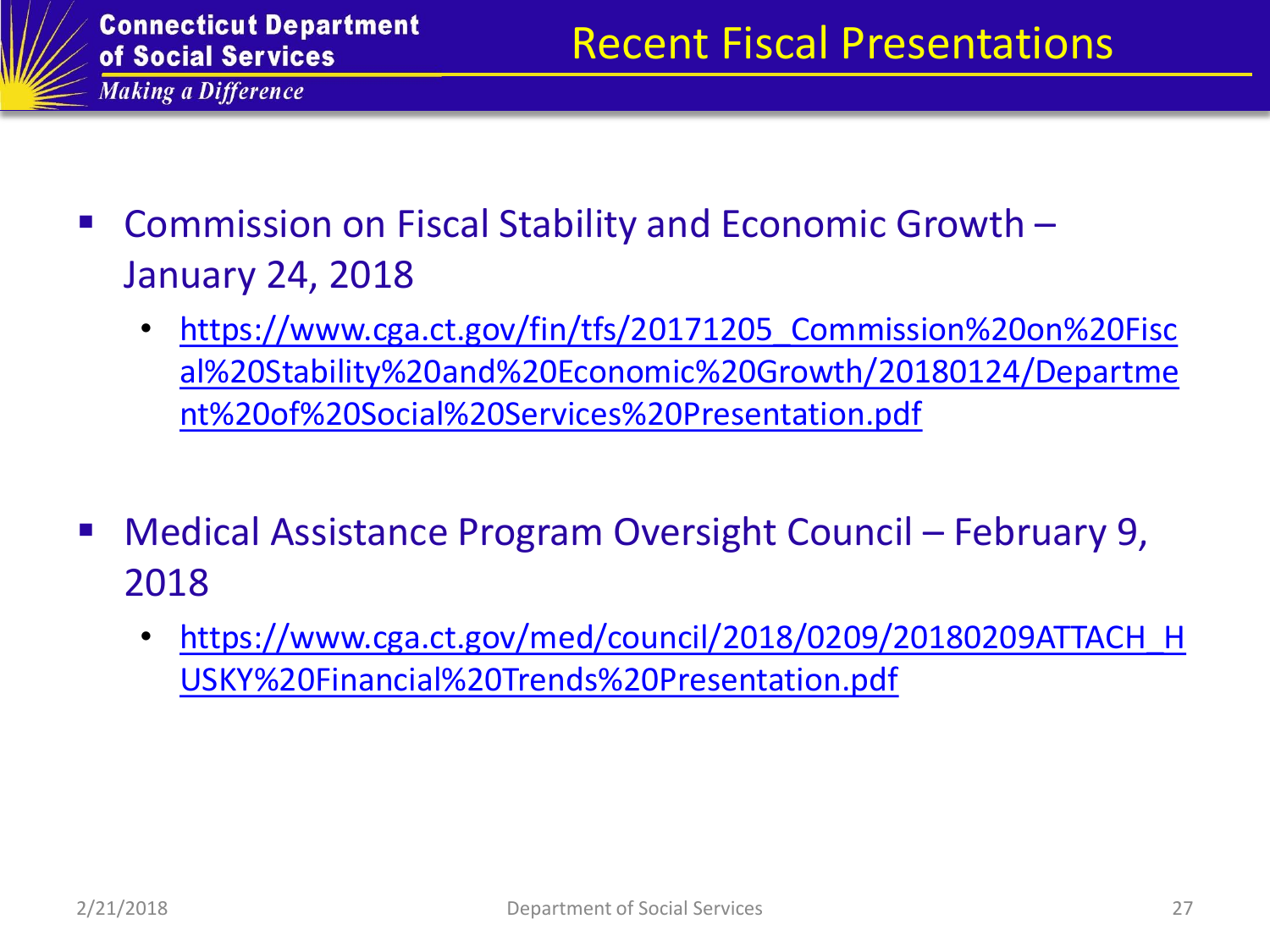

- Commission on Fiscal Stability and Economic Growth January 24, 2018
	- https://www.cga.ct.gov/fin/tfs/20171205 Commission%20on%20Fisc [al%20Stability%20and%20Economic%20Growth/20180124/Departme](https://www.cga.ct.gov/fin/tfs/20171205_Commission on Fiscal Stability and Economic Growth/20180124/Department of Social Services Presentation.pdf) [nt%20of%20Social%20Services%20Presentation.pdf](https://www.cga.ct.gov/fin/tfs/20171205_Commission on Fiscal Stability and Economic Growth/20180124/Department of Social Services Presentation.pdf)
- Medical Assistance Program Oversight Council February 9, 2018
	- [https://www.cga.ct.gov/med/council/2018/0209/20180209ATTACH\\_H](https://www.cga.ct.gov/med/council/2018/0209/20180209ATTACH_HUSKY Financial Trends Presentation.pdf) [USKY%20Financial%20Trends%20Presentation.pdf](https://www.cga.ct.gov/med/council/2018/0209/20180209ATTACH_HUSKY Financial Trends Presentation.pdf)